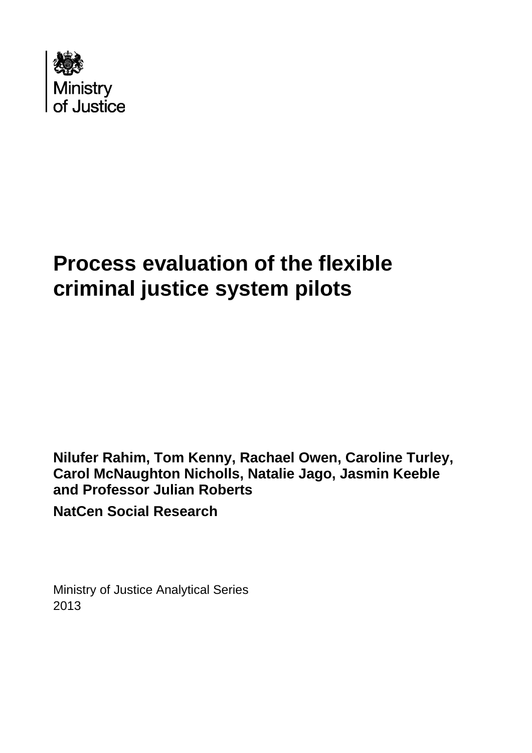

# **Process evaluation of the flexible criminal justice system pilots**

**Nilufer Rahim, Tom Kenny, Rachael Owen, Caroline Turley, Carol McNaughton Nicholls, Natalie Jago, Jasmin Keeble and Professor Julian Roberts NatCen Social Research**

Ministry of Justice Analytical Series 2013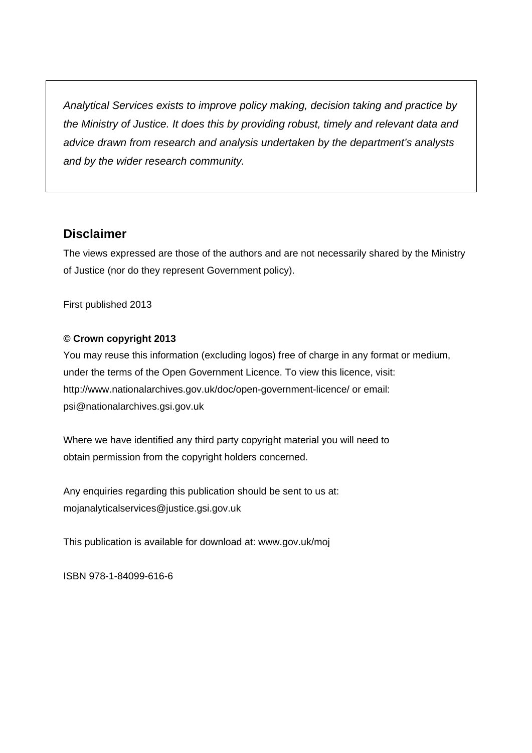*Analytical Services exists to improve policy making, decision taking and practice by the Ministry of Justice. It does this by providing robust, timely and relevant data and advice drawn from research and analysis undertaken by the department's analysts and by the wider research community.* 

# **Disclaimer**

The views expressed are those of the authors and are not necessarily shared by the Ministry of Justice (nor do they represent Government policy).

First published 2013

#### **© Crown copyright 2013**

You may reuse this information (excluding logos) free of charge in any format or medium, under the terms of the Open Government Licence. To view this licence, visit: <http://www.nationalarchives.gov.uk/doc/open-government-licence/> or email: [psi@nationalarchives.gsi.gov.uk](mailto:psi@nationalarchives.gsi.gov.uk) 

Where we have identified any third party copyright material you will need to obtain permission from the copyright holders concerned.

Any enquiries regarding this publication should be sent to us at: [mojanalyticalservices@justice.gsi.gov.uk](mailto:mojanalyticalservices@justice.gsi.gov.uk) 

This publication is available for download at: [www.gov.uk/moj](http://www.gov.uk/moj) 

ISBN 978-1-84099-616-6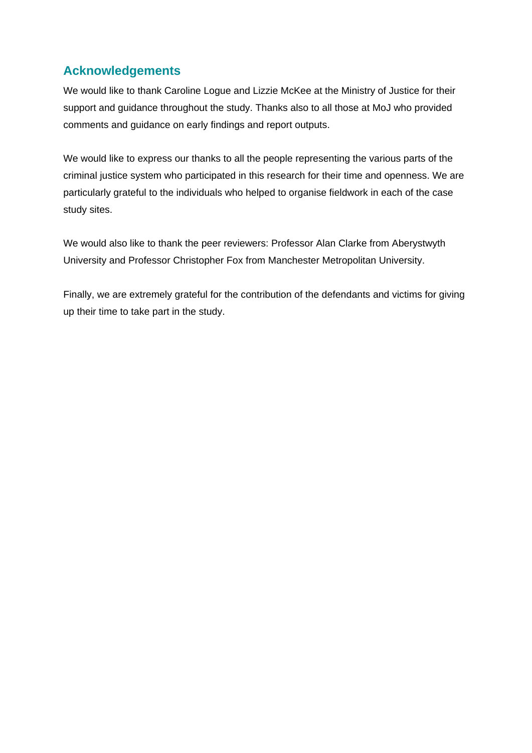# **Acknowledgements**

We would like to thank Caroline Logue and Lizzie McKee at the Ministry of Justice for their support and guidance throughout the study. Thanks also to all those at MoJ who provided comments and guidance on early findings and report outputs.

We would like to express our thanks to all the people representing the various parts of the criminal justice system who participated in this research for their time and openness. We are particularly grateful to the individuals who helped to organise fieldwork in each of the case study sites.

We would also like to thank the peer reviewers: Professor Alan Clarke from Aberystwyth University and Professor Christopher Fox from Manchester Metropolitan University.

Finally, we are extremely grateful for the contribution of the defendants and victims for giving up their time to take part in the study.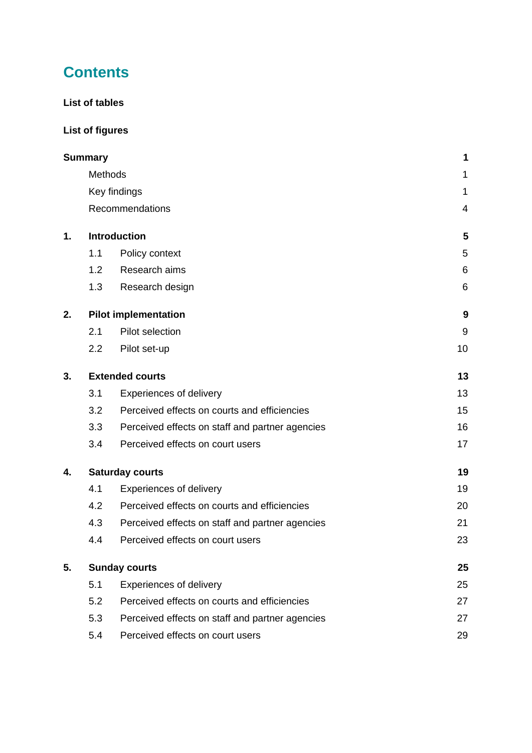# **Contents**

## **[List of tables](#page-4-0)**

# **[List of figures](#page-4-1)**

|    | Summary                |                                                 | 1  |
|----|------------------------|-------------------------------------------------|----|
|    | <b>Methods</b>         |                                                 | 1  |
|    | Key findings           | 1                                               |    |
|    |                        | Recommendations                                 | 4  |
| 1. |                        | <b>Introduction</b>                             | 5  |
|    | 1.1                    | Policy context                                  | 5  |
|    | 1.2                    | Research aims                                   | 6  |
|    | 1.3                    | Research design                                 | 6  |
| 2. |                        | <b>Pilot implementation</b>                     | 9  |
|    | 2.1                    | Pilot selection                                 | 9  |
|    | 2.2                    | Pilot set-up                                    | 10 |
| 3. | <b>Extended courts</b> | 13                                              |    |
|    | 3.1                    | <b>Experiences of delivery</b>                  | 13 |
|    | 3.2                    | Perceived effects on courts and efficiencies    | 15 |
|    | 3.3                    | Perceived effects on staff and partner agencies | 16 |
|    | 3.4                    | Perceived effects on court users                | 17 |
| 4. |                        | <b>Saturday courts</b>                          | 19 |
|    | 4.1                    | <b>Experiences of delivery</b>                  | 19 |
|    | 4.2                    | Perceived effects on courts and efficiencies    | 20 |
|    | 4.3                    | Perceived effects on staff and partner agencies | 21 |
|    | 4.4                    | Perceived effects on court users                | 23 |
| 5. |                        | <b>Sunday courts</b>                            | 25 |
|    | 5.1                    | <b>Experiences of delivery</b>                  | 25 |
|    | 5.2                    | Perceived effects on courts and efficiencies    | 27 |
|    | 5.3                    | Perceived effects on staff and partner agencies | 27 |
|    | 5.4                    | Perceived effects on court users                | 29 |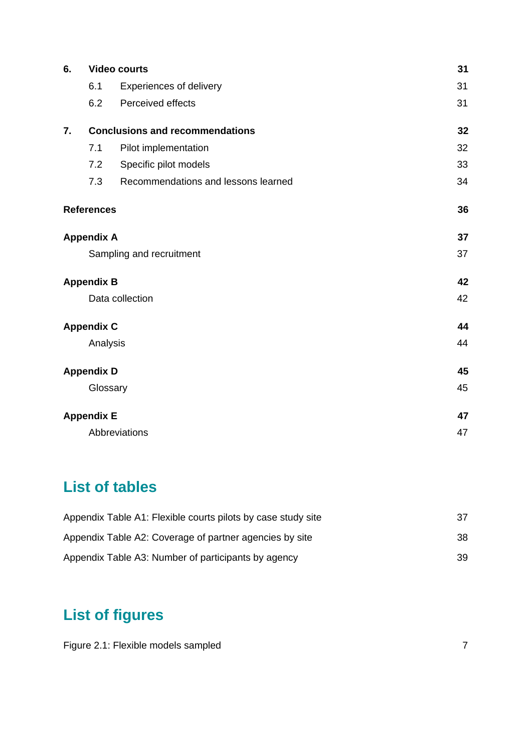| 6. | <b>Video courts</b> |                                        |    |  |  |
|----|---------------------|----------------------------------------|----|--|--|
|    | 6.1                 | <b>Experiences of delivery</b>         | 31 |  |  |
|    | 6.2                 | Perceived effects                      | 31 |  |  |
| 7. |                     | <b>Conclusions and recommendations</b> | 32 |  |  |
|    | 7.1                 | Pilot implementation                   | 32 |  |  |
|    | 7.2                 | Specific pilot models                  | 33 |  |  |
|    | 7.3                 | Recommendations and lessons learned    | 34 |  |  |
|    | <b>References</b>   |                                        | 36 |  |  |
|    | <b>Appendix A</b>   |                                        | 37 |  |  |
|    |                     | Sampling and recruitment               | 37 |  |  |
|    | <b>Appendix B</b>   |                                        | 42 |  |  |
|    |                     | Data collection                        | 42 |  |  |
|    | <b>Appendix C</b>   |                                        | 44 |  |  |
|    | Analysis            |                                        | 44 |  |  |
|    | <b>Appendix D</b>   |                                        | 45 |  |  |
|    | Glossary            |                                        | 45 |  |  |
|    | <b>Appendix E</b>   |                                        | 47 |  |  |
|    |                     | Abbreviations                          | 47 |  |  |

# <span id="page-4-0"></span>**List of tables**

| Appendix Table A1: Flexible courts pilots by case study site |     |
|--------------------------------------------------------------|-----|
| Appendix Table A2: Coverage of partner agencies by site      | 38. |
| Appendix Table A3: Number of participants by agency          | 39  |

# <span id="page-4-1"></span>**List of figures**

| Figure 2.1: Flexible models sampled |  |
|-------------------------------------|--|
|                                     |  |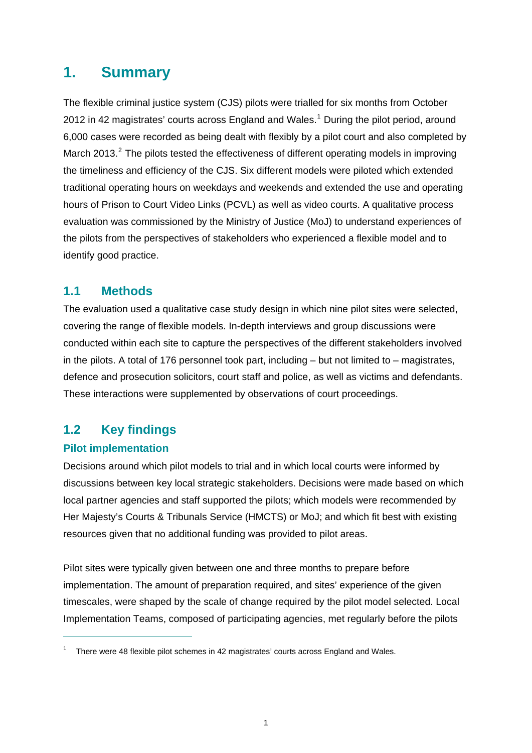# <span id="page-5-0"></span>**1. Summary**

The flexible criminal justice system (CJS) pilots were trialled for six months from October 20[1](#page-5-3)2 in 42 magistrates' courts across England and Wales.<sup>1</sup> During the pilot period, around 6,000 cases were recorded as being dealt with flexibly by a pilot court and also completed by March [2](#page-5-4)013.<sup>2</sup> The pilots tested the effectiveness of different operating models in improving the timeliness and efficiency of the CJS. Six different models were piloted which extended traditional operating hours on weekdays and weekends and extended the use and operating hours of Prison to Court Video Links (PCVL) as well as video courts. A qualitative process evaluation was commissioned by the Ministry of Justice (MoJ) to understand experiences of the pilots from the perspectives of stakeholders who experienced a flexible model and to identify good practice.

## <span id="page-5-1"></span>**1.1 Methods**

The evaluation used a qualitative case study design in which nine pilot sites were selected, covering the range of flexible models. In-depth interviews and group discussions were conducted within each site to capture the perspectives of the different stakeholders involved in the pilots. A total of 176 personnel took part, including – but not limited to – magistrates, defence and prosecution solicitors, court staff and police, as well as victims and defendants. These interactions were supplemented by observations of court proceedings.

# <span id="page-5-2"></span>**1.2 Key findings**

### **Pilot implementation**

 $\overline{a}$ 

Decisions around which pilot models to trial and in which local courts were informed by discussions between key local strategic stakeholders. Decisions were made based on which local partner agencies and staff supported the pilots; which models were recommended by Her Majesty's Courts & Tribunals Service (HMCTS) or MoJ; and which fit best with existing resources given that no additional funding was provided to pilot areas.

Pilot sites were typically given between one and three months to prepare before implementation. The amount of preparation required, and sites' experience of the given timescales, were shaped by the scale of change required by the pilot model selected. Local Implementation Teams, composed of participating agencies, met regularly before the pilots

<span id="page-5-4"></span><span id="page-5-3"></span><sup>&</sup>lt;sup>1</sup> There were 48 flexible pilot schemes in 42 magistrates' courts across England and Wales.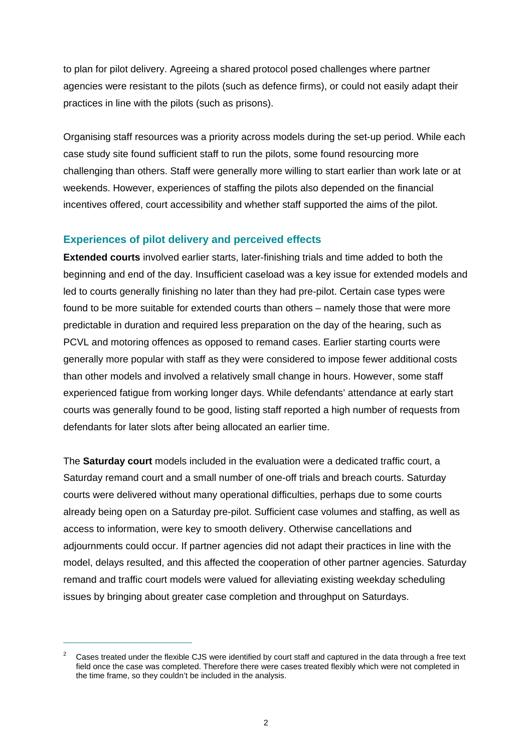to plan for pilot delivery. Agreeing a shared protocol posed challenges where partner agencies were resistant to the pilots (such as defence firms), or could not easily adapt their practices in line with the pilots (such as prisons).

Organising staff resources was a priority across models during the set-up period. While each case study site found sufficient staff to run the pilots, some found resourcing more challenging than others. Staff were generally more willing to start earlier than work late or at weekends. However, experiences of staffing the pilots also depended on the financial incentives offered, court accessibility and whether staff supported the aims of the pilot.

#### **Experiences of pilot delivery and perceived effects**

**Extended courts** involved earlier starts, later-finishing trials and time added to both the beginning and end of the day. Insufficient caseload was a key issue for extended models and led to courts generally finishing no later than they had pre-pilot. Certain case types were found to be more suitable for extended courts than others – namely those that were more predictable in duration and required less preparation on the day of the hearing, such as PCVL and motoring offences as opposed to remand cases. Earlier starting courts were generally more popular with staff as they were considered to impose fewer additional costs than other models and involved a relatively small change in hours. However, some staff experienced fatigue from working longer days. While defendants' attendance at early start courts was generally found to be good, listing staff reported a high number of requests from defendants for later slots after being allocated an earlier time.

The **Saturday court** models included in the evaluation were a dedicated traffic court, a Saturday remand court and a small number of one-off trials and breach courts. Saturday courts were delivered without many operational difficulties, perhaps due to some courts already being open on a Saturday pre-pilot. Sufficient case volumes and staffing, as well as access to information, were key to smooth delivery. Otherwise cancellations and adjournments could occur. If partner agencies did not adapt their practices in line with the model, delays resulted, and this affected the cooperation of other partner agencies. Saturday remand and traffic court models were valued for alleviating existing weekday scheduling issues by bringing about greater case completion and throughput on Saturdays.

 $\overline{a}$ 

 $\overline{2}$  Cases treated under the flexible CJS were identified by court staff and captured in the data through a free text field once the case was completed. Therefore there were cases treated flexibly which were not completed in the time frame, so they couldn't be included in the analysis.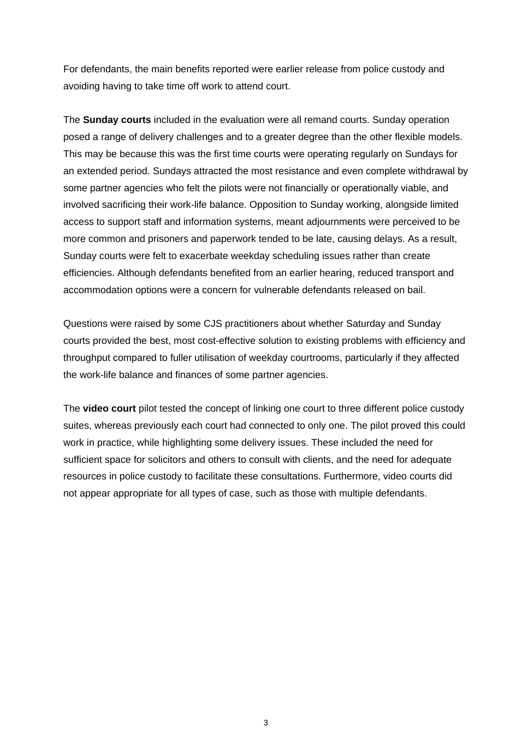For defendants, the main benefits reported were earlier release from police custody and avoiding having to take time off work to attend court.

The **Sunday courts** included in the evaluation were all remand courts. Sunday operation posed a range of delivery challenges and to a greater degree than the other flexible models. This may be because this was the first time courts were operating regularly on Sundays for an extended period. Sundays attracted the most resistance and even complete withdrawal by some partner agencies who felt the pilots were not financially or operationally viable, and involved sacrificing their work-life balance. Opposition to Sunday working, alongside limited access to support staff and information systems, meant adjournments were perceived to be more common and prisoners and paperwork tended to be late, causing delays. As a result, Sunday courts were felt to exacerbate weekday scheduling issues rather than create efficiencies. Although defendants benefited from an earlier hearing, reduced transport and accommodation options were a concern for vulnerable defendants released on bail.

Questions were raised by some CJS practitioners about whether Saturday and Sunday courts provided the best, most cost-effective solution to existing problems with efficiency and throughput compared to fuller utilisation of weekday courtrooms, particularly if they affected the work-life balance and finances of some partner agencies.

The **video court** pilot tested the concept of linking one court to three different police custody suites, whereas previously each court had connected to only one. The pilot proved this could work in practice, while highlighting some delivery issues. These included the need for sufficient space for solicitors and others to consult with clients, and the need for adequate resources in police custody to facilitate these consultations. Furthermore, video courts did not appear appropriate for all types of case, such as those with multiple defendants.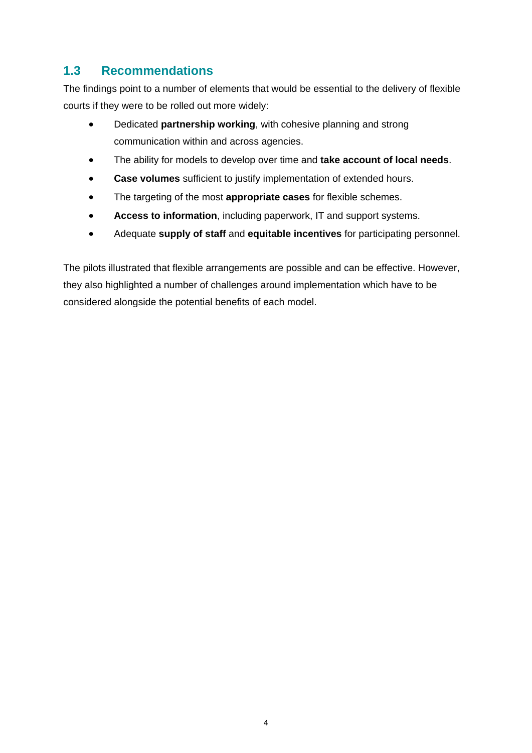# <span id="page-8-0"></span>**1.3 Recommendations**

The findings point to a number of elements that would be essential to the delivery of flexible courts if they were to be rolled out more widely:

- Dedicated **partnership working**, with cohesive planning and strong communication within and across agencies.
- The ability for models to develop over time and **take account of local needs**.
- **Case volumes** sufficient to justify implementation of extended hours.
- The targeting of the most **appropriate cases** for flexible schemes.
- **Access to information**, including paperwork, IT and support systems.
- Adequate **supply of staff** and **equitable incentives** for participating personnel.

The pilots illustrated that flexible arrangements are possible and can be effective. However, they also highlighted a number of challenges around implementation which have to be considered alongside the potential benefits of each model.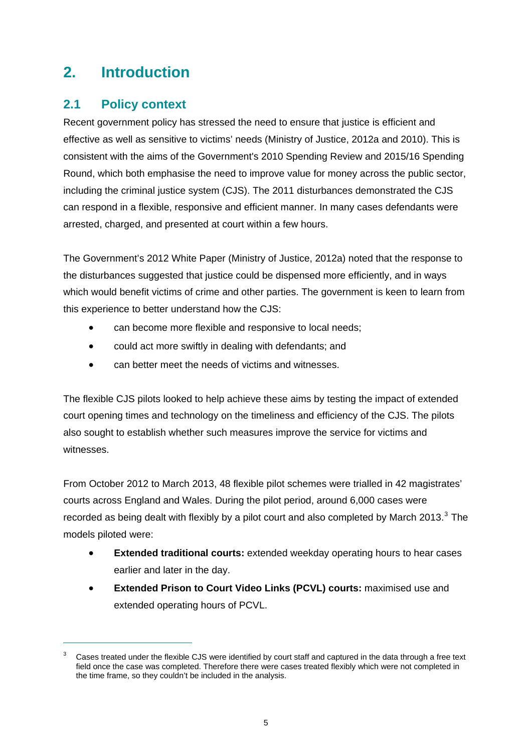# <span id="page-9-0"></span>**2. Introduction**

# <span id="page-9-1"></span>**2.1 Policy context**

 $\overline{a}$ 

Recent government policy has stressed the need to ensure that justice is efficient and effective as well as sensitive to victims' needs (Ministry of Justice, 2012a and 2010). This is consistent with the aims of the Government's 2010 Spending Review and 2015/16 Spending Round, which both emphasise the need to improve value for money across the public sector, including the criminal justice system (CJS). The 2011 disturbances demonstrated the CJS can respond in a flexible, responsive and efficient manner. In many cases defendants were arrested, charged, and presented at court within a few hours.

The Government's 2012 White Paper (Ministry of Justice, 2012a) noted that the response to the disturbances suggested that justice could be dispensed more efficiently, and in ways which would benefit victims of crime and other parties. The government is keen to learn from this experience to better understand how the CJS:

- can become more flexible and responsive to local needs;
- could act more swiftly in dealing with defendants; and
- can better meet the needs of victims and witnesses.

The flexible CJS pilots looked to help achieve these aims by testing the impact of extended court opening times and technology on the timeliness and efficiency of the CJS. The pilots also sought to establish whether such measures improve the service for victims and witnesses.

From October 2012 to March 2013, 48 flexible pilot schemes were trialled in 42 magistrates' courts across England and Wales. During the pilot period, around 6,000 cases were recorded as being dealt with flexibly by a pilot court and also completed by March 201[3](#page-9-2). $3$  The models piloted were:

- **Extended traditional courts:** extended weekday operating hours to hear cases earlier and later in the day.
- **Extended Prison to Court Video Links (PCVL) courts:** maximised use and extended operating hours of PCVL.

<span id="page-9-2"></span><sup>3</sup> Cases treated under the flexible CJS were identified by court staff and captured in the data through a free text field once the case was completed. Therefore there were cases treated flexibly which were not completed in the time frame, so they couldn't be included in the analysis.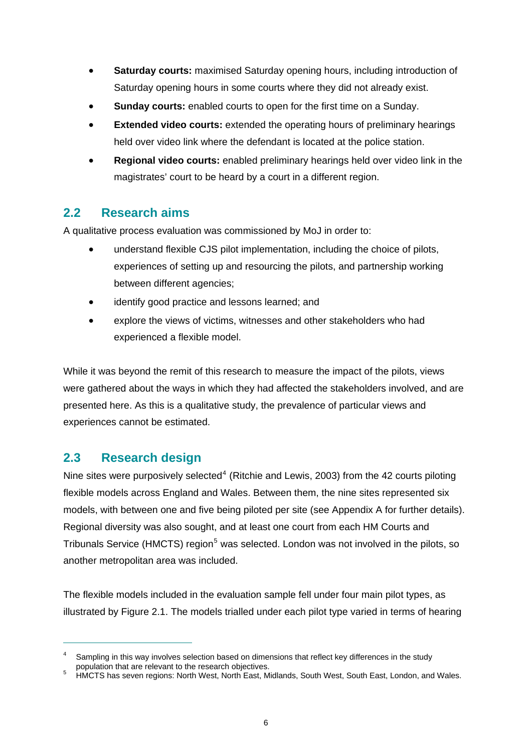- **Saturday courts:** maximised Saturday opening hours, including introduction of Saturday opening hours in some courts where they did not already exist.
- **Sunday courts:** enabled courts to open for the first time on a Sunday.
- **Extended video courts:** extended the operating hours of preliminary hearings held over video link where the defendant is located at the police station.
- **Regional video courts:** enabled preliminary hearings held over video link in the magistrates' court to be heard by a court in a different region.

# <span id="page-10-0"></span>**2.2 Research aims**

A qualitative process evaluation was commissioned by MoJ in order to:

- understand flexible CJS pilot implementation, including the choice of pilots, experiences of setting up and resourcing the pilots, and partnership working between different agencies;
- identify good practice and lessons learned; and
- explore the views of victims, witnesses and other stakeholders who had experienced a flexible model.

While it was beyond the remit of this research to measure the impact of the pilots, views were gathered about the ways in which they had affected the stakeholders involved, and are presented here. As this is a qualitative study, the prevalence of particular views and experiences cannot be estimated.

# <span id="page-10-1"></span>**2.3 Research design**

 $\overline{a}$ 

Nine sites were purposively selected<sup>[4](#page-10-2)</sup> (Ritchie and Lewis, 2003) from the 42 courts piloting flexible models across England and Wales. Between them, the nine sites represented six models, with between one and five being piloted per site (see Appendix A for further details). Regional diversity was also sought, and at least one court from each HM Courts and Tribunals Service (HMCTS) region<sup>[5](#page-10-3)</sup> was selected. London was not involved in the pilots, so another metropolitan area was included.

The flexible models included in the evaluation sample fell under four main pilot types, as illustrated by Figure 2.1. The models trialled under each pilot type varied in terms of hearing

<span id="page-10-2"></span><sup>4</sup> Sampling in this way involves selection based on dimensions that reflect key differences in the study population that are relevant to the research objectives. 5

<span id="page-10-3"></span>HMCTS has seven regions: North West, North East, Midlands, South West, South East, London, and Wales.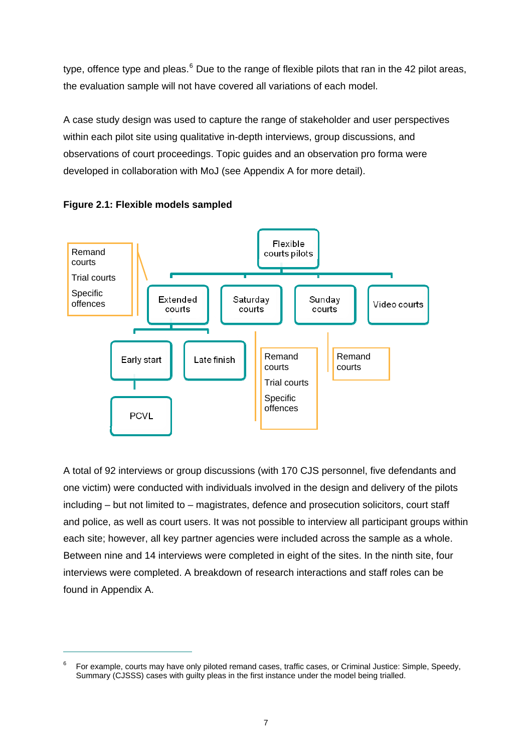type, offence type and pleas. $^6$  $^6$  Due to the range of flexible pilots that ran in the 42 pilot areas, the evaluation sample will not have covered all variations of each model.

A case study design was used to capture the range of stakeholder and user perspectives within each pilot site using qualitative in-depth interviews, group discussions, and observations of court proceedings. Topic guides and an observation pro forma were developed in collaboration with MoJ (see Appendix A for more detail).

<span id="page-11-0"></span>



 $\overline{a}$ 

A total of 92 interviews or group discussions (with 170 CJS personnel, five defendants and one victim) were conducted with individuals involved in the design and delivery of the pilots including – but not limited to – magistrates, defence and prosecution solicitors, court staff and police, as well as court users. It was not possible to interview all participant groups within each site; however, all key partner agencies were included across the sample as a whole. Between nine and 14 interviews were completed in eight of the sites. In the ninth site, four interviews were completed. A breakdown of research interactions and staff roles can be found in Appendix A.

<span id="page-11-1"></span><sup>6</sup> For example, courts may have only piloted remand cases, traffic cases, or Criminal Justice: Simple, Speedy, Summary (CJSSS) cases with guilty pleas in the first instance under the model being trialled.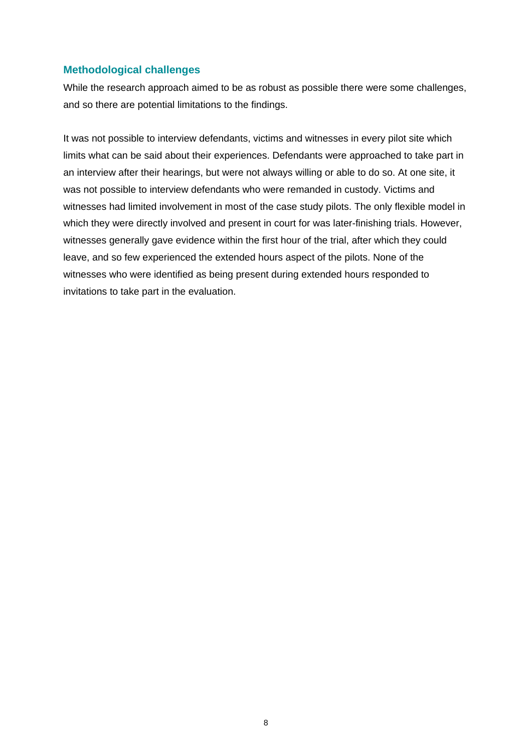#### **Methodological challenges**

While the research approach aimed to be as robust as possible there were some challenges, and so there are potential limitations to the findings.

It was not possible to interview defendants, victims and witnesses in every pilot site which limits what can be said about their experiences. Defendants were approached to take part in an interview after their hearings, but were not always willing or able to do so. At one site, it was not possible to interview defendants who were remanded in custody. Victims and witnesses had limited involvement in most of the case study pilots. The only flexible model in which they were directly involved and present in court for was later-finishing trials. However, witnesses generally gave evidence within the first hour of the trial, after which they could leave, and so few experienced the extended hours aspect of the pilots. None of the witnesses who were identified as being present during extended hours responded to invitations to take part in the evaluation.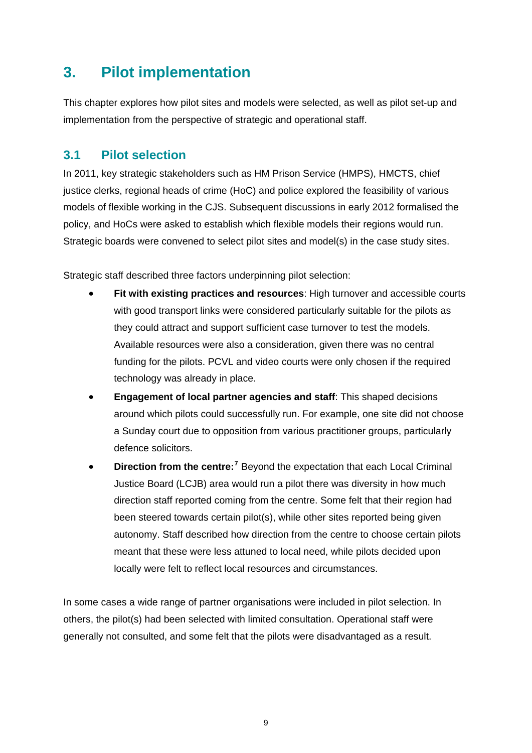# <span id="page-13-0"></span>**3. Pilot implementation**

This chapter explores how pilot sites and models were selected, as well as pilot set-up and implementation from the perspective of strategic and operational staff.

# <span id="page-13-1"></span>**3.1 Pilot selection**

In 2011, key strategic stakeholders such as HM Prison Service (HMPS), HMCTS, chief justice clerks, regional heads of crime (HoC) and police explored the feasibility of various models of flexible working in the CJS. Subsequent discussions in early 2012 formalised the policy, and HoCs were asked to establish which flexible models their regions would run. Strategic boards were convened to select pilot sites and model(s) in the case study sites.

Strategic staff described three factors underpinning pilot selection:

- **Fit with existing practices and resources**: High turnover and accessible courts with good transport links were considered particularly suitable for the pilots as they could attract and support sufficient case turnover to test the models. Available resources were also a consideration, given there was no central funding for the pilots. PCVL and video courts were only chosen if the required technology was already in place.
- **Engagement of local partner agencies and staff**: This shaped decisions around which pilots could successfully run. For example, one site did not choose a Sunday court due to opposition from various practitioner groups, particularly defence solicitors.
- **Direction from the centre:**<sup>[7](#page-13-2)</sup> Beyond the expectation that each Local Criminal Justice Board (LCJB) area would run a pilot there was diversity in how much direction staff reported coming from the centre. Some felt that their region had been steered towards certain pilot(s), while other sites reported being given autonomy. Staff described how direction from the centre to choose certain pilots meant that these were less attuned to local need, while pilots decided upon locally were felt to reflect local resources and circumstances.

<span id="page-13-2"></span>In some cases a wide range of partner organisations were included in pilot selection. In others, the pilot(s) had been selected with limited consultation. Operational staff were generally not consulted, and some felt that the pilots were disadvantaged as a result.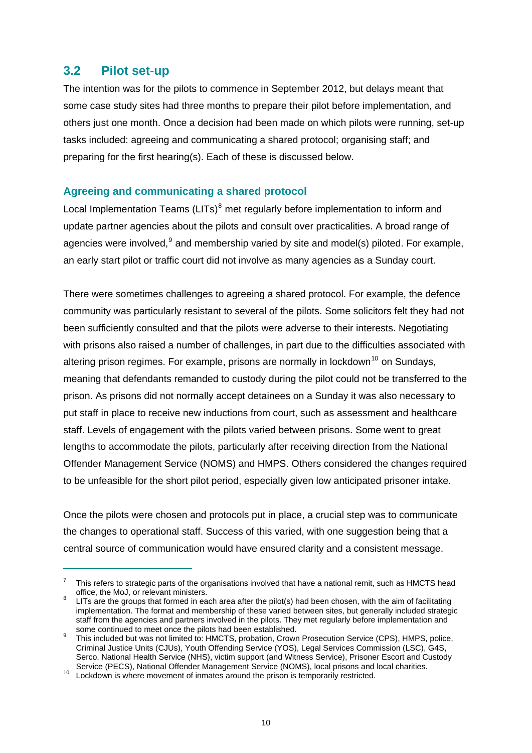## <span id="page-14-0"></span>**3.2 Pilot set-up**

 $\overline{a}$ 

The intention was for the pilots to commence in September 2012, but delays meant that some case study sites had three months to prepare their pilot before implementation, and others just one month. Once a decision had been made on which pilots were running, set-up tasks included: agreeing and communicating a shared protocol; organising staff; and preparing for the first hearing(s). Each of these is discussed below.

#### **Agreeing and communicating a shared protocol**

Local Implementation Teams (LITs) $<sup>8</sup>$  $<sup>8</sup>$  $<sup>8</sup>$  met regularly before implementation to inform and</sup> update partner agencies about the pilots and consult over practicalities. A broad range of agencies were involved, <sup>[9](#page-14-2)</sup> and membership varied by site and model(s) piloted. For example, an early start pilot or traffic court did not involve as many agencies as a Sunday court.

There were sometimes challenges to agreeing a shared protocol. For example, the defence community was particularly resistant to several of the pilots. Some solicitors felt they had not been sufficiently consulted and that the pilots were adverse to their interests. Negotiating with prisons also raised a number of challenges, in part due to the difficulties associated with altering prison regimes. For example, prisons are normally in lockdown<sup>[10](#page-14-3)</sup> on Sundays, meaning that defendants remanded to custody during the pilot could not be transferred to the prison. As prisons did not normally accept detainees on a Sunday it was also necessary to put staff in place to receive new inductions from court, such as assessment and healthcare staff. Levels of engagement with the pilots varied between prisons. Some went to great lengths to accommodate the pilots, particularly after receiving direction from the National Offender Management Service (NOMS) and HMPS. Others considered the changes required to be unfeasible for the short pilot period, especially given low anticipated prisoner intake.

Once the pilots were chosen and protocols put in place, a crucial step was to communicate the changes to operational staff. Success of this varied, with one suggestion being that a central source of communication would have ensured clarity and a consistent message.

<sup>7</sup> This refers to strategic parts of the organisations involved that have a national remit, such as HMCTS head office, the MoJ, or relevant ministers.

<span id="page-14-1"></span>LITs are the groups that formed in each area after the pilot(s) had been chosen, with the aim of facilitating implementation. The format and membership of these varied between sites, but generally included strategic staff from the agencies and partners involved in the pilots. They met regularly before implementation and some continued to meet once the pilots had been established.

<span id="page-14-2"></span>This included but was not limited to: HMCTS, probation, Crown Prosecution Service (CPS), HMPS, police, Criminal Justice Units (CJUs), Youth Offending Service (YOS), Legal Services Commission (LSC), G4S, Serco, National Health Service (NHS), victim support (and Witness Service), Prisoner Escort and Custody Service (PECS), National Offender Management Service (NOMS), local prisons and local charities.

<span id="page-14-3"></span><sup>10</sup> Lockdown is where movement of inmates around the prison is temporarily restricted.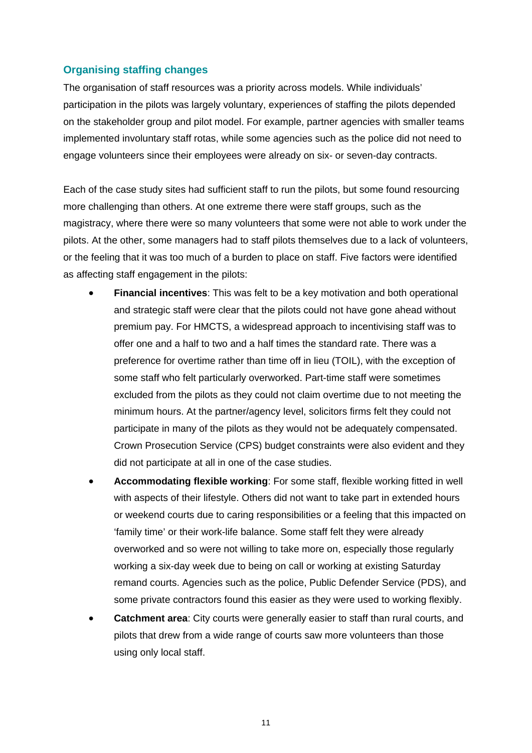#### **Organising staffing changes**

The organisation of staff resources was a priority across models. While individuals' participation in the pilots was largely voluntary, experiences of staffing the pilots depended on the stakeholder group and pilot model. For example, partner agencies with smaller teams implemented involuntary staff rotas, while some agencies such as the police did not need to engage volunteers since their employees were already on six- or seven-day contracts.

Each of the case study sites had sufficient staff to run the pilots, but some found resourcing more challenging than others. At one extreme there were staff groups, such as the magistracy, where there were so many volunteers that some were not able to work under the pilots. At the other, some managers had to staff pilots themselves due to a lack of volunteers, or the feeling that it was too much of a burden to place on staff. Five factors were identified as affecting staff engagement in the pilots:

- **Financial incentives**: This was felt to be a key motivation and both operational and strategic staff were clear that the pilots could not have gone ahead without premium pay. For HMCTS, a widespread approach to incentivising staff was to offer one and a half to two and a half times the standard rate. There was a preference for overtime rather than time off in lieu (TOIL), with the exception of some staff who felt particularly overworked. Part-time staff were sometimes excluded from the pilots as they could not claim overtime due to not meeting the minimum hours. At the partner/agency level, solicitors firms felt they could not participate in many of the pilots as they would not be adequately compensated. Crown Prosecution Service (CPS) budget constraints were also evident and they did not participate at all in one of the case studies.
- **Accommodating flexible working**: For some staff, flexible working fitted in well with aspects of their lifestyle. Others did not want to take part in extended hours or weekend courts due to caring responsibilities or a feeling that this impacted on 'family time' or their work-life balance. Some staff felt they were already overworked and so were not willing to take more on, especially those regularly working a six-day week due to being on call or working at existing Saturday remand courts. Agencies such as the police, Public Defender Service (PDS), and some private contractors found this easier as they were used to working flexibly.
- **Catchment area**: City courts were generally easier to staff than rural courts, and pilots that drew from a wide range of courts saw more volunteers than those using only local staff.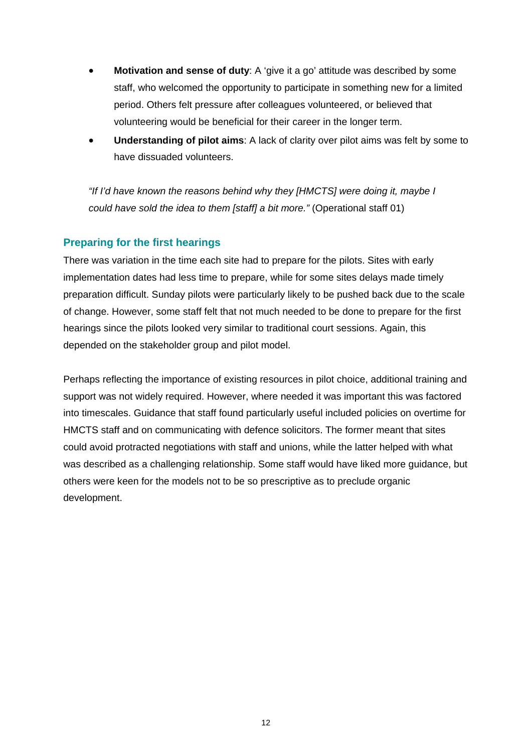- **Motivation and sense of duty**: A 'give it a go' attitude was described by some staff, who welcomed the opportunity to participate in something new for a limited period. Others felt pressure after colleagues volunteered, or believed that volunteering would be beneficial for their career in the longer term.
- **Understanding of pilot aims**: A lack of clarity over pilot aims was felt by some to have dissuaded volunteers.

*"If I'd have known the reasons behind why they [HMCTS] were doing it, maybe I could have sold the idea to them [staff] a bit more."* (Operational staff 01)

### **Preparing for the first hearings**

There was variation in the time each site had to prepare for the pilots. Sites with early implementation dates had less time to prepare, while for some sites delays made timely preparation difficult. Sunday pilots were particularly likely to be pushed back due to the scale of change. However, some staff felt that not much needed to be done to prepare for the first hearings since the pilots looked very similar to traditional court sessions. Again, this depended on the stakeholder group and pilot model.

Perhaps reflecting the importance of existing resources in pilot choice, additional training and support was not widely required. However, where needed it was important this was factored into timescales. Guidance that staff found particularly useful included policies on overtime for HMCTS staff and on communicating with defence solicitors. The former meant that sites could avoid protracted negotiations with staff and unions, while the latter helped with what was described as a challenging relationship. Some staff would have liked more guidance, but others were keen for the models not to be so prescriptive as to preclude organic development.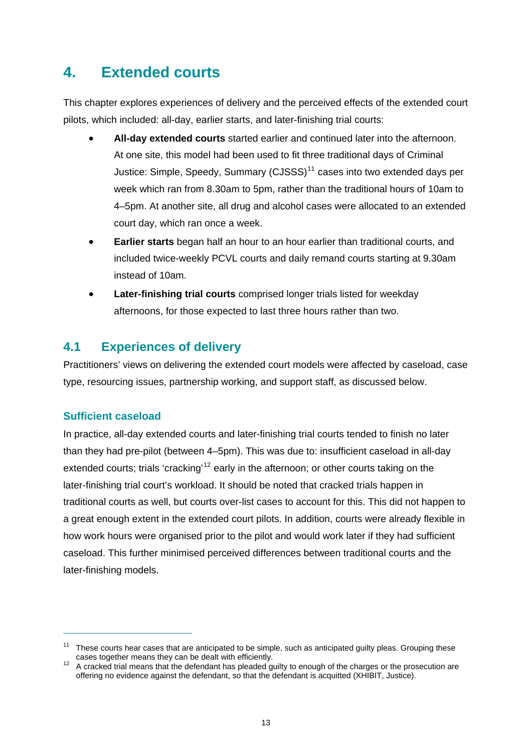# <span id="page-17-0"></span>**4. Extended courts**

This chapter explores experiences of delivery and the perceived effects of the extended court pilots, which included: all-day, earlier starts, and later-finishing trial courts:

- **All-day extended courts** started earlier and continued later into the afternoon. At one site, this model had been used to fit three traditional days of Criminal Justice: Simple, Speedy, Summary (CJSSS)<sup>[11](#page-17-2)</sup> cases into two extended davs per week which ran from 8.30am to 5pm, rather than the traditional hours of 10am to 4–5pm. At another site, all drug and alcohol cases were allocated to an extended court day, which ran once a week.
- **Earlier starts** began half an hour to an hour earlier than traditional courts, and included twice-weekly PCVL courts and daily remand courts starting at 9.30am instead of 10am.
- **Later-finishing trial courts** comprised longer trials listed for weekday afternoons, for those expected to last three hours rather than two.

# <span id="page-17-1"></span>**4.1 Experiences of delivery**

Practitioners' views on delivering the extended court models were affected by caseload, case type, resourcing issues, partnership working, and support staff, as discussed below.

### **Sufficient caseload**

 $\overline{a}$ 

In practice, all-day extended courts and later-finishing trial courts tended to finish no later than they had pre-pilot (between 4–5pm). This was due to: insufficient caseload in all-day extended courts; trials 'cracking'<sup>[12](#page-17-3)</sup> early in the afternoon; or other courts taking on the later-finishing trial court's workload. It should be noted that cracked trials happen in traditional courts as well, but courts over-list cases to account for this. This did not happen to a great enough extent in the extended court pilots. In addition, courts were already flexible in how work hours were organised prior to the pilot and would work later if they had sufficient caseload. This further minimised perceived differences between traditional courts and the later-finishing models.

<span id="page-17-2"></span><sup>&</sup>lt;sup>11</sup> These courts hear cases that are anticipated to be simple, such as anticipated guilty pleas. Grouping these cases together means they can be dealt with efficiently.

<span id="page-17-3"></span>cases together means they can be dealt with efficiently.<br><sup>12</sup> A cracked trial means that the defendant has pleaded guilty to enough of the charges or the prosecution are offering no evidence against the defendant, so that the defendant is acquitted (XHIBIT, Justice).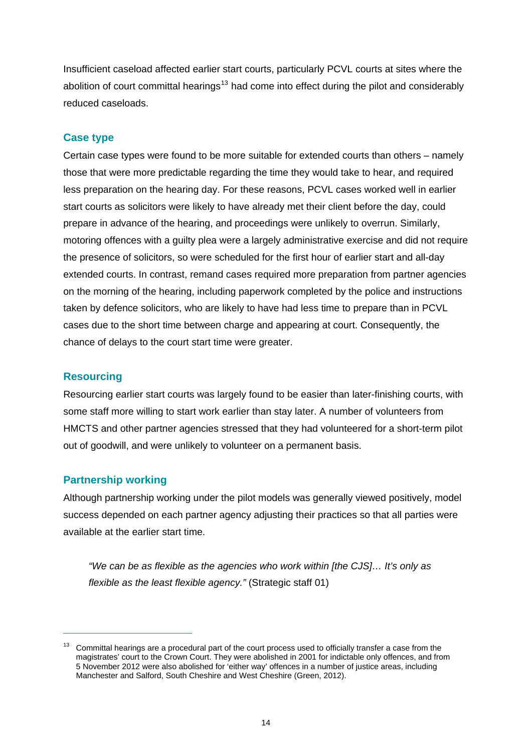Insufficient caseload affected earlier start courts, particularly PCVL courts at sites where the abolition of court committal hearings<sup>[13](#page-18-0)</sup> had come into effect during the pilot and considerably reduced caseloads.

#### **Case type**

Certain case types were found to be more suitable for extended courts than others – namely those that were more predictable regarding the time they would take to hear, and required less preparation on the hearing day. For these reasons, PCVL cases worked well in earlier start courts as solicitors were likely to have already met their client before the day, could prepare in advance of the hearing, and proceedings were unlikely to overrun. Similarly, motoring offences with a guilty plea were a largely administrative exercise and did not require the presence of solicitors, so were scheduled for the first hour of earlier start and all-day extended courts. In contrast, remand cases required more preparation from partner agencies on the morning of the hearing, including paperwork completed by the police and instructions taken by defence solicitors, who are likely to have had less time to prepare than in PCVL cases due to the short time between charge and appearing at court. Consequently, the chance of delays to the court start time were greater.

#### **Resourcing**

 $\overline{a}$ 

Resourcing earlier start courts was largely found to be easier than later-finishing courts, with some staff more willing to start work earlier than stay later. A number of volunteers from HMCTS and other partner agencies stressed that they had volunteered for a short-term pilot out of goodwill, and were unlikely to volunteer on a permanent basis.

#### **Partnership working**

Although partnership working under the pilot models was generally viewed positively, model success depended on each partner agency adjusting their practices so that all parties were available at the earlier start time.

*"We can be as flexible as the agencies who work within [the CJS]… It's only as flexible as the least flexible agency."* (Strategic staff 01)

<span id="page-18-0"></span><sup>&</sup>lt;sup>13</sup> Committal hearings are a procedural part of the court process used to officially transfer a case from the magistrates' court to the Crown Court. They were abolished in 2001 for indictable only offences, and from 5 November 2012 were also abolished for 'either way' offences in a number of justice areas, including Manchester and Salford, South Cheshire and West Cheshire (Green, 2012).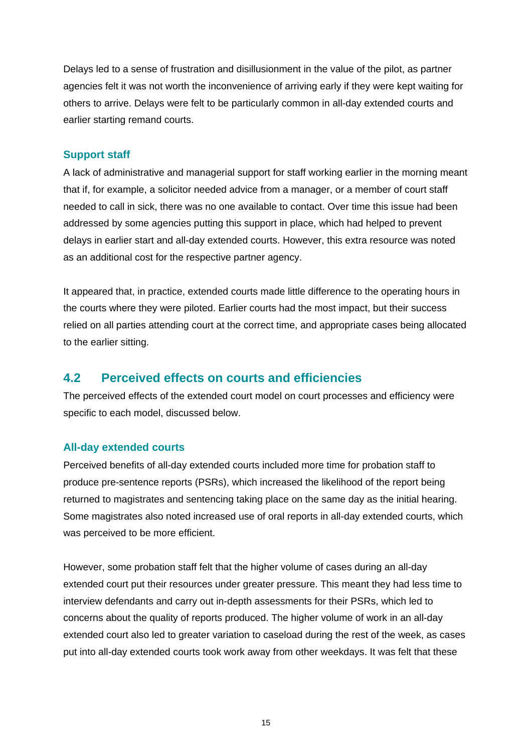Delays led to a sense of frustration and disillusionment in the value of the pilot, as partner agencies felt it was not worth the inconvenience of arriving early if they were kept waiting for others to arrive. Delays were felt to be particularly common in all-day extended courts and earlier starting remand courts.

#### **Support staff**

A lack of administrative and managerial support for staff working earlier in the morning meant that if, for example, a solicitor needed advice from a manager, or a member of court staff needed to call in sick, there was no one available to contact. Over time this issue had been addressed by some agencies putting this support in place, which had helped to prevent delays in earlier start and all-day extended courts. However, this extra resource was noted as an additional cost for the respective partner agency.

It appeared that, in practice, extended courts made little difference to the operating hours in the courts where they were piloted. Earlier courts had the most impact, but their success relied on all parties attending court at the correct time, and appropriate cases being allocated to the earlier sitting.

### <span id="page-19-0"></span>**4.2 Perceived effects on courts and efficiencies**

The perceived effects of the extended court model on court processes and efficiency were specific to each model, discussed below.

#### **All-day extended courts**

Perceived benefits of all-day extended courts included more time for probation staff to produce pre-sentence reports (PSRs), which increased the likelihood of the report being returned to magistrates and sentencing taking place on the same day as the initial hearing. Some magistrates also noted increased use of oral reports in all-day extended courts, which was perceived to be more efficient.

However, some probation staff felt that the higher volume of cases during an all-day extended court put their resources under greater pressure. This meant they had less time to interview defendants and carry out in-depth assessments for their PSRs, which led to concerns about the quality of reports produced. The higher volume of work in an all-day extended court also led to greater variation to caseload during the rest of the week, as cases put into all-day extended courts took work away from other weekdays. It was felt that these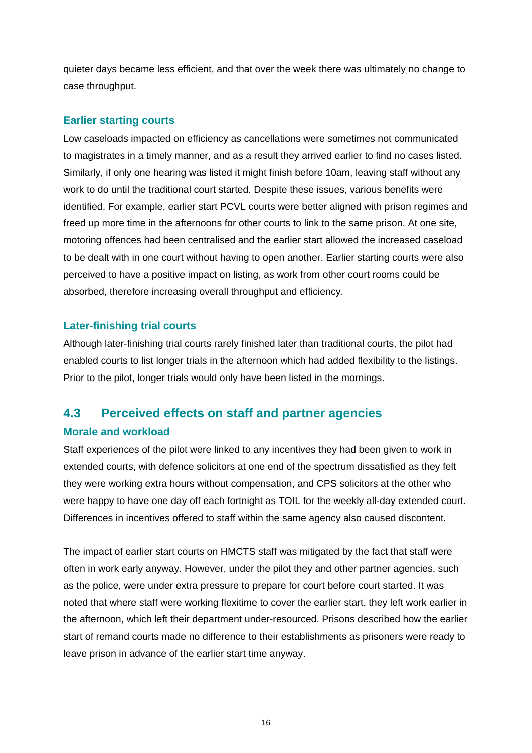quieter days became less efficient, and that over the week there was ultimately no change to case throughput.

#### **Earlier starting courts**

Low caseloads impacted on efficiency as cancellations were sometimes not communicated to magistrates in a timely manner, and as a result they arrived earlier to find no cases listed. Similarly, if only one hearing was listed it might finish before 10am, leaving staff without any work to do until the traditional court started. Despite these issues, various benefits were identified. For example, earlier start PCVL courts were better aligned with prison regimes and freed up more time in the afternoons for other courts to link to the same prison. At one site, motoring offences had been centralised and the earlier start allowed the increased caseload to be dealt with in one court without having to open another. Earlier starting courts were also perceived to have a positive impact on listing, as work from other court rooms could be absorbed, therefore increasing overall throughput and efficiency.

#### **Later-finishing trial courts**

Although later-finishing trial courts rarely finished later than traditional courts, the pilot had enabled courts to list longer trials in the afternoon which had added flexibility to the listings. Prior to the pilot, longer trials would only have been listed in the mornings.

### <span id="page-20-0"></span>**4.3 Perceived effects on staff and partner agencies**

#### **Morale and workload**

Staff experiences of the pilot were linked to any incentives they had been given to work in extended courts, with defence solicitors at one end of the spectrum dissatisfied as they felt they were working extra hours without compensation, and CPS solicitors at the other who were happy to have one day off each fortnight as TOIL for the weekly all-day extended court. Differences in incentives offered to staff within the same agency also caused discontent.

The impact of earlier start courts on HMCTS staff was mitigated by the fact that staff were often in work early anyway. However, under the pilot they and other partner agencies, such as the police, were under extra pressure to prepare for court before court started. It was noted that where staff were working flexitime to cover the earlier start, they left work earlier in the afternoon, which left their department under-resourced. Prisons described how the earlier start of remand courts made no difference to their establishments as prisoners were ready to leave prison in advance of the earlier start time anyway.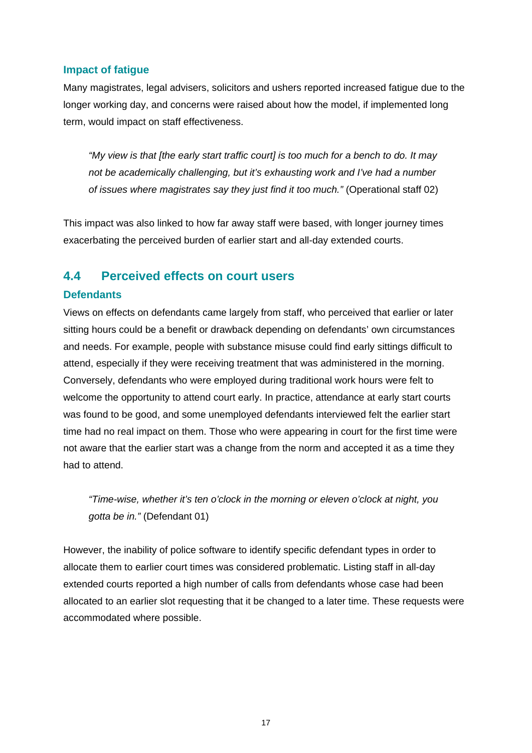#### **Impact of fatigue**

Many magistrates, legal advisers, solicitors and ushers reported increased fatigue due to the longer working day, and concerns were raised about how the model, if implemented long term, would impact on staff effectiveness.

*"My view is that [the early start traffic court] is too much for a bench to do. It may not be academically challenging, but it's exhausting work and I've had a number of issues where magistrates say they just find it too much."* (Operational staff 02)

This impact was also linked to how far away staff were based, with longer journey times exacerbating the perceived burden of earlier start and all-day extended courts.

## <span id="page-21-0"></span>**4.4 Perceived effects on court users**

#### **Defendants**

Views on effects on defendants came largely from staff, who perceived that earlier or later sitting hours could be a benefit or drawback depending on defendants' own circumstances and needs. For example, people with substance misuse could find early sittings difficult to attend, especially if they were receiving treatment that was administered in the morning. Conversely, defendants who were employed during traditional work hours were felt to welcome the opportunity to attend court early. In practice, attendance at early start courts was found to be good, and some unemployed defendants interviewed felt the earlier start time had no real impact on them. Those who were appearing in court for the first time were not aware that the earlier start was a change from the norm and accepted it as a time they had to attend.

*"Time-wise, whether it's ten o'clock in the morning or eleven o'clock at night, you gotta be in."* (Defendant 01)

However, the inability of police software to identify specific defendant types in order to allocate them to earlier court times was considered problematic. Listing staff in all-day extended courts reported a high number of calls from defendants whose case had been allocated to an earlier slot requesting that it be changed to a later time. These requests were accommodated where possible.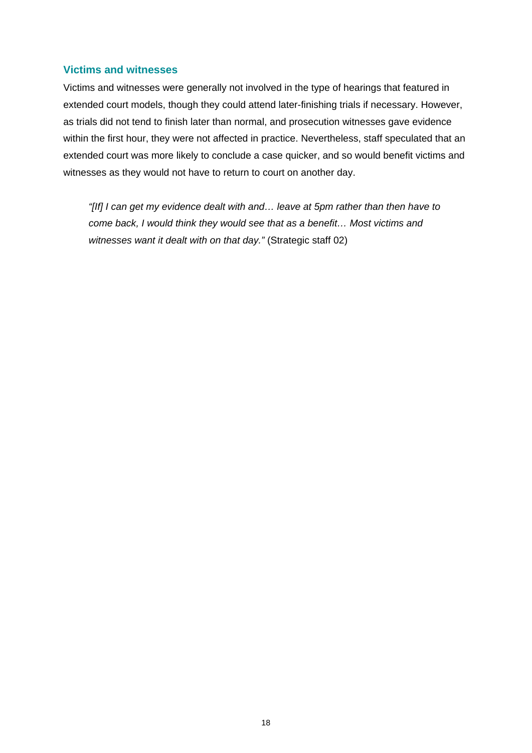#### **Victims and witnesses**

Victims and witnesses were generally not involved in the type of hearings that featured in extended court models, though they could attend later-finishing trials if necessary. However, as trials did not tend to finish later than normal, and prosecution witnesses gave evidence within the first hour, they were not affected in practice. Nevertheless, staff speculated that an extended court was more likely to conclude a case quicker, and so would benefit victims and witnesses as they would not have to return to court on another day.

*"[If] I can get my evidence dealt with and… leave at 5pm rather than then have to come back, I would think they would see that as a benefit… Most victims and witnesses want it dealt with on that day."* (Strategic staff 02)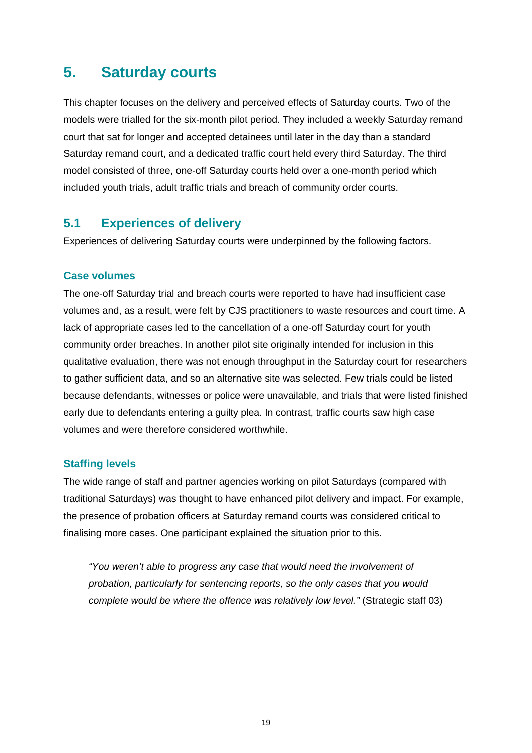# <span id="page-23-0"></span>**5. Saturday courts**

This chapter focuses on the delivery and perceived effects of Saturday courts. Two of the models were trialled for the six-month pilot period. They included a weekly Saturday remand court that sat for longer and accepted detainees until later in the day than a standard Saturday remand court, and a dedicated traffic court held every third Saturday. The third model consisted of three, one-off Saturday courts held over a one-month period which included youth trials, adult traffic trials and breach of community order courts.

## <span id="page-23-1"></span>**5.1 Experiences of delivery**

Experiences of delivering Saturday courts were underpinned by the following factors.

#### **Case volumes**

The one-off Saturday trial and breach courts were reported to have had insufficient case volumes and, as a result, were felt by CJS practitioners to waste resources and court time. A lack of appropriate cases led to the cancellation of a one-off Saturday court for youth community order breaches. In another pilot site originally intended for inclusion in this qualitative evaluation, there was not enough throughput in the Saturday court for researchers to gather sufficient data, and so an alternative site was selected. Few trials could be listed because defendants, witnesses or police were unavailable, and trials that were listed finished early due to defendants entering a guilty plea. In contrast, traffic courts saw high case volumes and were therefore considered worthwhile.

#### **Staffing levels**

The wide range of staff and partner agencies working on pilot Saturdays (compared with traditional Saturdays) was thought to have enhanced pilot delivery and impact. For example, the presence of probation officers at Saturday remand courts was considered critical to finalising more cases. One participant explained the situation prior to this.

*"You weren't able to progress any case that would need the involvement of probation, particularly for sentencing reports, so the only cases that you would complete would be where the offence was relatively low level."* (Strategic staff 03)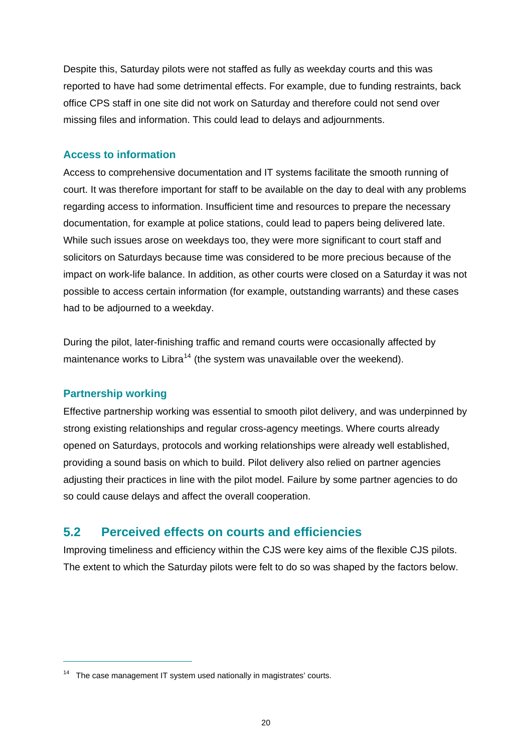Despite this, Saturday pilots were not staffed as fully as weekday courts and this was reported to have had some detrimental effects. For example, due to funding restraints, back office CPS staff in one site did not work on Saturday and therefore could not send over missing files and information. This could lead to delays and adjournments.

#### **Access to information**

Access to comprehensive documentation and IT systems facilitate the smooth running of court. It was therefore important for staff to be available on the day to deal with any problems regarding access to information. Insufficient time and resources to prepare the necessary documentation, for example at police stations, could lead to papers being delivered late. While such issues arose on weekdays too, they were more significant to court staff and solicitors on Saturdays because time was considered to be more precious because of the impact on work-life balance. In addition, as other courts were closed on a Saturday it was not possible to access certain information (for example, outstanding warrants) and these cases had to be adjourned to a weekday.

During the pilot, later-finishing traffic and remand courts were occasionally affected by maintenance works to Libra<sup>[14](#page-24-1)</sup> (the system was unavailable over the weekend).

#### **Partnership working**

 $\overline{a}$ 

Effective partnership working was essential to smooth pilot delivery, and was underpinned by strong existing relationships and regular cross-agency meetings. Where courts already opened on Saturdays, protocols and working relationships were already well established, providing a sound basis on which to build. Pilot delivery also relied on partner agencies adjusting their practices in line with the pilot model. Failure by some partner agencies to do so could cause delays and affect the overall cooperation.

### <span id="page-24-0"></span>**5.2 Perceived effects on courts and efficiencies**

Improving timeliness and efficiency within the CJS were key aims of the flexible CJS pilots. The extent to which the Saturday pilots were felt to do so was shaped by the factors below.

<span id="page-24-1"></span><sup>&</sup>lt;sup>14</sup> The case management IT system used nationally in magistrates' courts.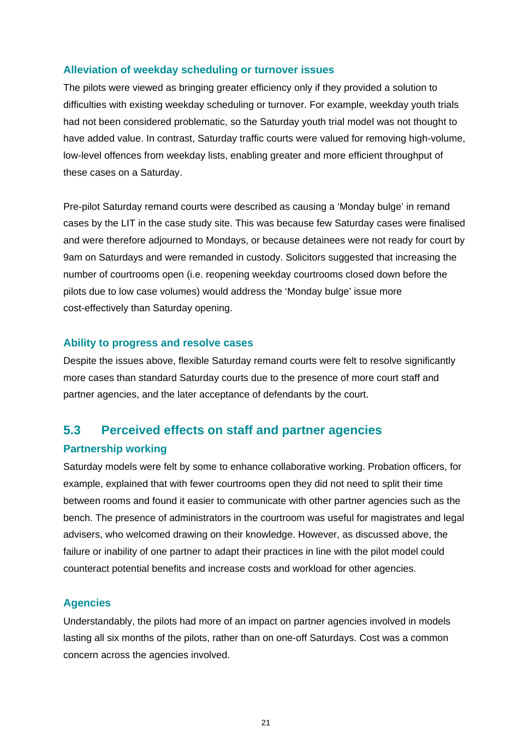#### **Alleviation of weekday scheduling or turnover issues**

The pilots were viewed as bringing greater efficiency only if they provided a solution to difficulties with existing weekday scheduling or turnover. For example, weekday youth trials had not been considered problematic, so the Saturday youth trial model was not thought to have added value. In contrast, Saturday traffic courts were valued for removing high-volume, low-level offences from weekday lists, enabling greater and more efficient throughput of these cases on a Saturday.

Pre-pilot Saturday remand courts were described as causing a 'Monday bulge' in remand cases by the LIT in the case study site. This was because few Saturday cases were finalised and were therefore adjourned to Mondays, or because detainees were not ready for court by 9am on Saturdays and were remanded in custody. Solicitors suggested that increasing the number of courtrooms open (i.e. reopening weekday courtrooms closed down before the pilots due to low case volumes) would address the 'Monday bulge' issue more cost-effectively than Saturday opening.

#### **Ability to progress and resolve cases**

Despite the issues above, flexible Saturday remand courts were felt to resolve significantly more cases than standard Saturday courts due to the presence of more court staff and partner agencies, and the later acceptance of defendants by the court.

## <span id="page-25-0"></span>**5.3 Perceived effects on staff and partner agencies**

#### **Partnership working**

Saturday models were felt by some to enhance collaborative working. Probation officers, for example, explained that with fewer courtrooms open they did not need to split their time between rooms and found it easier to communicate with other partner agencies such as the bench. The presence of administrators in the courtroom was useful for magistrates and legal advisers, who welcomed drawing on their knowledge. However, as discussed above, the failure or inability of one partner to adapt their practices in line with the pilot model could counteract potential benefits and increase costs and workload for other agencies.

#### **Agencies**

Understandably, the pilots had more of an impact on partner agencies involved in models lasting all six months of the pilots, rather than on one-off Saturdays. Cost was a common concern across the agencies involved.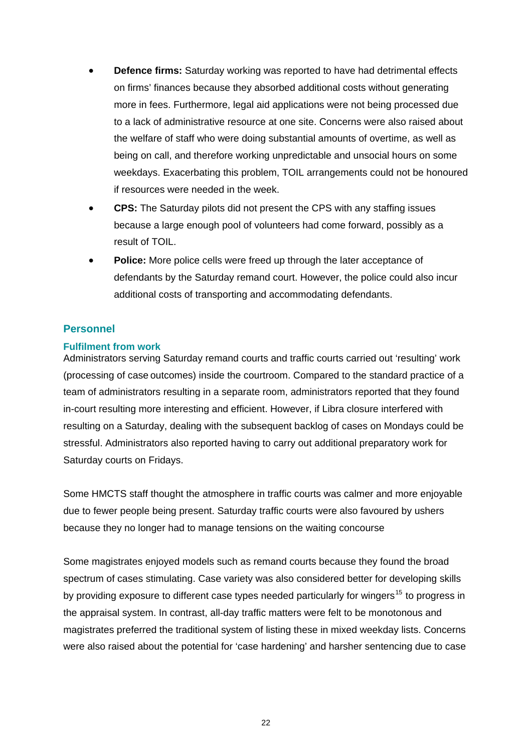- **Defence firms:** Saturday working was reported to have had detrimental effects on firms' finances because they absorbed additional costs without generating more in fees. Furthermore, legal aid applications were not being processed due to a lack of administrative resource at one site. Concerns were also raised about the welfare of staff who were doing substantial amounts of overtime, as well as being on call, and therefore working unpredictable and unsocial hours on some weekdays. Exacerbating this problem, TOIL arrangements could not be honoured if resources were needed in the week.
- **CPS:** The Saturday pilots did not present the CPS with any staffing issues because a large enough pool of volunteers had come forward, possibly as a result of TOIL.
- **Police:** More police cells were freed up through the later acceptance of defendants by the Saturday remand court. However, the police could also incur additional costs of transporting and accommodating defendants.

#### **Personnel**

#### **Fulfilment from work**

Administrators serving Saturday remand courts and traffic courts carried out 'resulting' work (processing of case outcomes) inside the courtroom. Compared to the standard practice of a team of administrators resulting in a separate room, administrators reported that they found in-court resulting more interesting and efficient. However, if Libra closure interfered with resulting on a Saturday, dealing with the subsequent backlog of cases on Mondays could be stressful. Administrators also reported having to carry out additional preparatory work for Saturday courts on Fridays.

Some HMCTS staff thought the atmosphere in traffic courts was calmer and more enjoyable due to fewer people being present. Saturday traffic courts were also favoured by ushers because they no longer had to manage tensions on the waiting concourse

<span id="page-26-0"></span>Some magistrates enjoyed models such as remand courts because they found the broad spectrum of cases stimulating. Case variety was also considered better for developing skills by providing exposure to different case types needed particularly for wingers<sup>[15](#page-26-0)</sup> to progress in the appraisal system. In contrast, all-day traffic matters were felt to be monotonous and magistrates preferred the traditional system of listing these in mixed weekday lists. Concerns were also raised about the potential for 'case hardening' and harsher sentencing due to case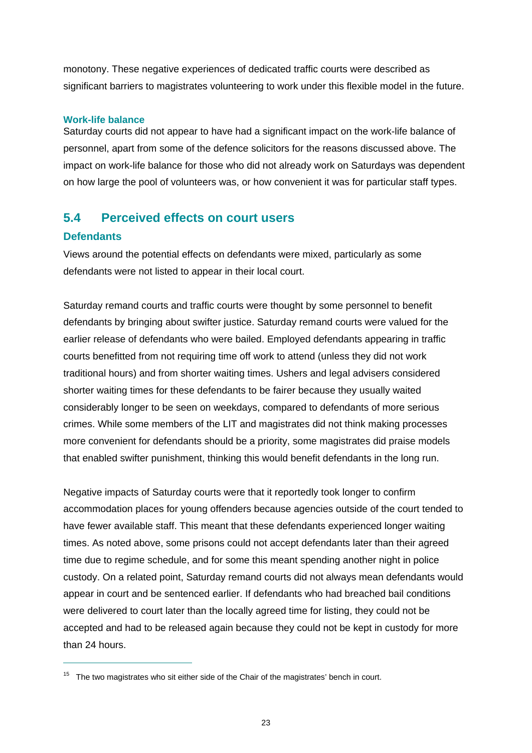monotony. These negative experiences of dedicated traffic courts were described as significant barriers to magistrates volunteering to work under this flexible model in the future.

#### **Work-life balance**

Saturday courts did not appear to have had a significant impact on the work-life balance of personnel, apart from some of the defence solicitors for the reasons discussed above. The impact on work-life balance for those who did not already work on Saturdays was dependent on how large the pool of volunteers was, or how convenient it was for particular staff types.

# <span id="page-27-0"></span>**5.4 Perceived effects on court users**

#### **Defendants**

 $\overline{a}$ 

Views around the potential effects on defendants were mixed, particularly as some defendants were not listed to appear in their local court.

Saturday remand courts and traffic courts were thought by some personnel to benefit defendants by bringing about swifter justice. Saturday remand courts were valued for the earlier release of defendants who were bailed. Employed defendants appearing in traffic courts benefitted from not requiring time off work to attend (unless they did not work traditional hours) and from shorter waiting times. Ushers and legal advisers considered shorter waiting times for these defendants to be fairer because they usually waited considerably longer to be seen on weekdays, compared to defendants of more serious crimes. While some members of the LIT and magistrates did not think making processes more convenient for defendants should be a priority, some magistrates did praise models that enabled swifter punishment, thinking this would benefit defendants in the long run.

Negative impacts of Saturday courts were that it reportedly took longer to confirm accommodation places for young offenders because agencies outside of the court tended to have fewer available staff. This meant that these defendants experienced longer waiting times. As noted above, some prisons could not accept defendants later than their agreed time due to regime schedule, and for some this meant spending another night in police custody. On a related point, Saturday remand courts did not always mean defendants would appear in court and be sentenced earlier. If defendants who had breached bail conditions were delivered to court later than the locally agreed time for listing, they could not be accepted and had to be released again because they could not be kept in custody for more than 24 hours.

 $15$  The two magistrates who sit either side of the Chair of the magistrates' bench in court.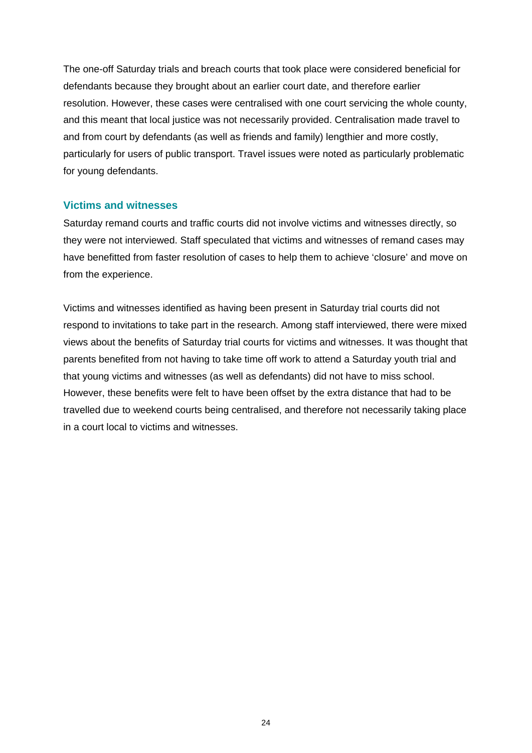The one-off Saturday trials and breach courts that took place were considered beneficial for defendants because they brought about an earlier court date, and therefore earlier resolution. However, these cases were centralised with one court servicing the whole county, and this meant that local justice was not necessarily provided. Centralisation made travel to and from court by defendants (as well as friends and family) lengthier and more costly, particularly for users of public transport. Travel issues were noted as particularly problematic for young defendants.

#### **Victims and witnesses**

Saturday remand courts and traffic courts did not involve victims and witnesses directly, so they were not interviewed. Staff speculated that victims and witnesses of remand cases may have benefitted from faster resolution of cases to help them to achieve 'closure' and move on from the experience.

Victims and witnesses identified as having been present in Saturday trial courts did not respond to invitations to take part in the research. Among staff interviewed, there were mixed views about the benefits of Saturday trial courts for victims and witnesses. It was thought that parents benefited from not having to take time off work to attend a Saturday youth trial and that young victims and witnesses (as well as defendants) did not have to miss school. However, these benefits were felt to have been offset by the extra distance that had to be travelled due to weekend courts being centralised, and therefore not necessarily taking place in a court local to victims and witnesses.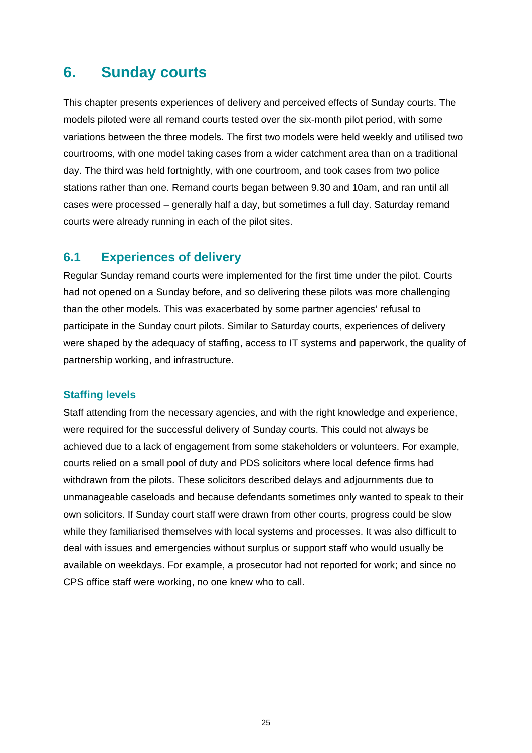# <span id="page-29-0"></span>**6. Sunday courts**

This chapter presents experiences of delivery and perceived effects of Sunday courts. The models piloted were all remand courts tested over the six-month pilot period, with some variations between the three models. The first two models were held weekly and utilised two courtrooms, with one model taking cases from a wider catchment area than on a traditional day. The third was held fortnightly, with one courtroom, and took cases from two police stations rather than one. Remand courts began between 9.30 and 10am, and ran until all cases were processed – generally half a day, but sometimes a full day. Saturday remand courts were already running in each of the pilot sites.

## <span id="page-29-1"></span>**6.1 Experiences of delivery**

Regular Sunday remand courts were implemented for the first time under the pilot. Courts had not opened on a Sunday before, and so delivering these pilots was more challenging than the other models. This was exacerbated by some partner agencies' refusal to participate in the Sunday court pilots. Similar to Saturday courts, experiences of delivery were shaped by the adequacy of staffing, access to IT systems and paperwork, the quality of partnership working, and infrastructure.

#### **Staffing levels**

Staff attending from the necessary agencies, and with the right knowledge and experience, were required for the successful delivery of Sunday courts. This could not always be achieved due to a lack of engagement from some stakeholders or volunteers. For example, courts relied on a small pool of duty and PDS solicitors where local defence firms had withdrawn from the pilots. These solicitors described delays and adjournments due to unmanageable caseloads and because defendants sometimes only wanted to speak to their own solicitors. If Sunday court staff were drawn from other courts, progress could be slow while they familiarised themselves with local systems and processes. It was also difficult to deal with issues and emergencies without surplus or support staff who would usually be available on weekdays. For example, a prosecutor had not reported for work; and since no CPS office staff were working, no one knew who to call.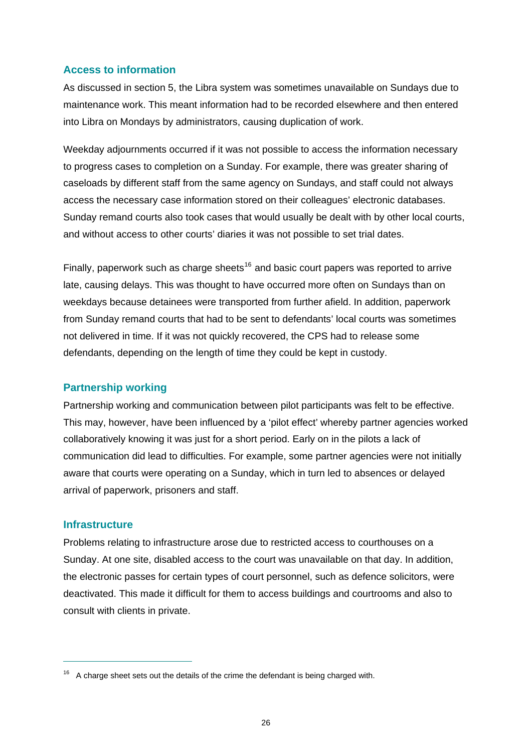#### **Access to information**

As discussed in section 5, the Libra system was sometimes unavailable on Sundays due to maintenance work. This meant information had to be recorded elsewhere and then entered into Libra on Mondays by administrators, causing duplication of work.

Weekday adjournments occurred if it was not possible to access the information necessary to progress cases to completion on a Sunday. For example, there was greater sharing of caseloads by different staff from the same agency on Sundays, and staff could not always access the necessary case information stored on their colleagues' electronic databases. Sunday remand courts also took cases that would usually be dealt with by other local courts, and without access to other courts' diaries it was not possible to set trial dates.

Finally, paperwork such as charge sheets<sup>[16](#page-30-0)</sup> and basic court papers was reported to arrive late, causing delays. This was thought to have occurred more often on Sundays than on weekdays because detainees were transported from further afield. In addition, paperwork from Sunday remand courts that had to be sent to defendants' local courts was sometimes not delivered in time. If it was not quickly recovered, the CPS had to release some defendants, depending on the length of time they could be kept in custody.

#### **Partnership working**

Partnership working and communication between pilot participants was felt to be effective. This may, however, have been influenced by a 'pilot effect' whereby partner agencies worked collaboratively knowing it was just for a short period. Early on in the pilots a lack of communication did lead to difficulties. For example, some partner agencies were not initially aware that courts were operating on a Sunday, which in turn led to absences or delayed arrival of paperwork, prisoners and staff.

#### **Infrastructure**

 $\overline{a}$ 

Problems relating to infrastructure arose due to restricted access to courthouses on a Sunday. At one site, disabled access to the court was unavailable on that day. In addition, the electronic passes for certain types of court personnel, such as defence solicitors, were deactivated. This made it difficult for them to access buildings and courtrooms and also to consult with clients in private.

<span id="page-30-0"></span> $16$  A charge sheet sets out the details of the crime the defendant is being charged with.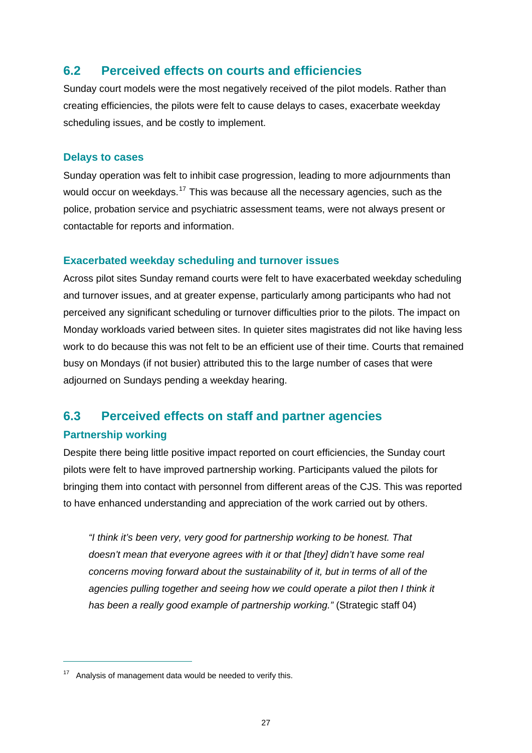## <span id="page-31-0"></span>**6.2 Perceived effects on courts and efficiencies**

Sunday court models were the most negatively received of the pilot models. Rather than creating efficiencies, the pilots were felt to cause delays to cases, exacerbate weekday scheduling issues, and be costly to implement.

#### **Delays to cases**

Sunday operation was felt to inhibit case progression, leading to more adjournments than would occur on weekdays.<sup>[17](#page-31-2)</sup> This was because all the necessary agencies, such as the police, probation service and psychiatric assessment teams, were not always present or contactable for reports and information.

#### **Exacerbated weekday scheduling and turnover issues**

Across pilot sites Sunday remand courts were felt to have exacerbated weekday scheduling and turnover issues, and at greater expense, particularly among participants who had not perceived any significant scheduling or turnover difficulties prior to the pilots. The impact on Monday workloads varied between sites. In quieter sites magistrates did not like having less work to do because this was not felt to be an efficient use of their time. Courts that remained busy on Mondays (if not busier) attributed this to the large number of cases that were adjourned on Sundays pending a weekday hearing.

# <span id="page-31-1"></span>**6.3 Perceived effects on staff and partner agencies**

#### **Partnership working**

 $\overline{a}$ 

Despite there being little positive impact reported on court efficiencies, the Sunday court pilots were felt to have improved partnership working. Participants valued the pilots for bringing them into contact with personnel from different areas of the CJS. This was reported to have enhanced understanding and appreciation of the work carried out by others.

*"I think it's been very, very good for partnership working to be honest. That doesn't mean that everyone agrees with it or that [they] didn't have some real concerns moving forward about the sustainability of it, but in terms of all of the*  agencies pulling together and seeing how we could operate a pilot then I think it *has been a really good example of partnership working."* (Strategic staff 04)

<span id="page-31-2"></span><sup>&</sup>lt;sup>17</sup> Analysis of management data would be needed to verify this.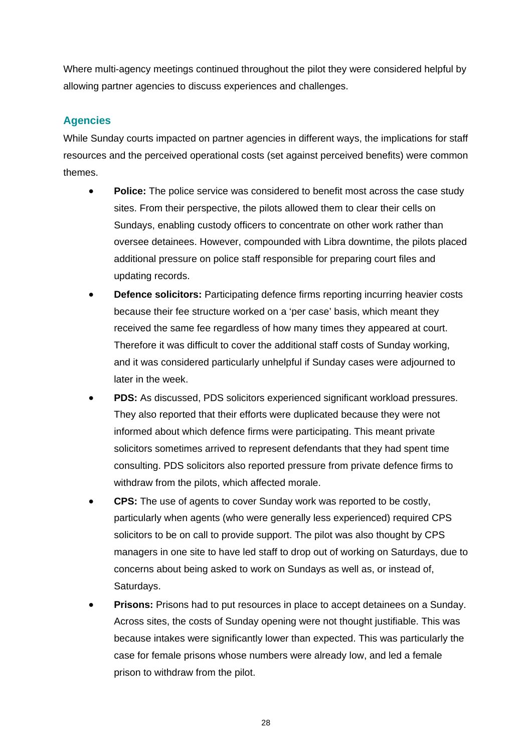Where multi-agency meetings continued throughout the pilot they were considered helpful by allowing partner agencies to discuss experiences and challenges.

## **Agencies**

While Sunday courts impacted on partner agencies in different ways, the implications for staff resources and the perceived operational costs (set against perceived benefits) were common themes.

- **Police:** The police service was considered to benefit most across the case study sites. From their perspective, the pilots allowed them to clear their cells on Sundays, enabling custody officers to concentrate on other work rather than oversee detainees. However, compounded with Libra downtime, the pilots placed additional pressure on police staff responsible for preparing court files and updating records.
- **Defence solicitors:** Participating defence firms reporting incurring heavier costs because their fee structure worked on a 'per case' basis, which meant they received the same fee regardless of how many times they appeared at court. Therefore it was difficult to cover the additional staff costs of Sunday working, and it was considered particularly unhelpful if Sunday cases were adjourned to later in the week.
- **PDS:** As discussed, PDS solicitors experienced significant workload pressures. They also reported that their efforts were duplicated because they were not informed about which defence firms were participating. This meant private solicitors sometimes arrived to represent defendants that they had spent time consulting. PDS solicitors also reported pressure from private defence firms to withdraw from the pilots, which affected morale.
- **CPS:** The use of agents to cover Sunday work was reported to be costly, particularly when agents (who were generally less experienced) required CPS solicitors to be on call to provide support. The pilot was also thought by CPS managers in one site to have led staff to drop out of working on Saturdays, due to concerns about being asked to work on Sundays as well as, or instead of, Saturdays.
- **Prisons:** Prisons had to put resources in place to accept detainees on a Sunday. Across sites, the costs of Sunday opening were not thought justifiable. This was because intakes were significantly lower than expected. This was particularly the case for female prisons whose numbers were already low, and led a female prison to withdraw from the pilot.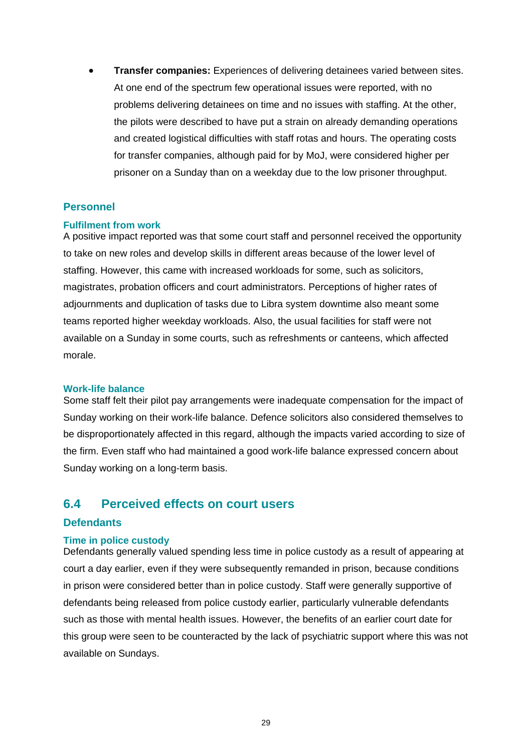**Transfer companies:** Experiences of delivering detainees varied between sites. At one end of the spectrum few operational issues were reported, with no problems delivering detainees on time and no issues with staffing. At the other, the pilots were described to have put a strain on already demanding operations and created logistical difficulties with staff rotas and hours. The operating costs for transfer companies, although paid for by MoJ, were considered higher per prisoner on a Sunday than on a weekday due to the low prisoner throughput.

#### **Personnel**

#### **Fulfilment from work**

A positive impact reported was that some court staff and personnel received the opportunity to take on new roles and develop skills in different areas because of the lower level of staffing. However, this came with increased workloads for some, such as solicitors, magistrates, probation officers and court administrators. Perceptions of higher rates of adjournments and duplication of tasks due to Libra system downtime also meant some teams reported higher weekday workloads. Also, the usual facilities for staff were not available on a Sunday in some courts, such as refreshments or canteens, which affected morale.

#### **Work-life balance**

Some staff felt their pilot pay arrangements were inadequate compensation for the impact of Sunday working on their work-life balance. Defence solicitors also considered themselves to be disproportionately affected in this regard, although the impacts varied according to size of the firm. Even staff who had maintained a good work-life balance expressed concern about Sunday working on a long-term basis.

### <span id="page-33-0"></span>**6.4 Perceived effects on court users**

#### **Defendants**

#### **Time in police custody**

Defendants generally valued spending less time in police custody as a result of appearing at court a day earlier, even if they were subsequently remanded in prison, because conditions in prison were considered better than in police custody. Staff were generally supportive of defendants being released from police custody earlier, particularly vulnerable defendants such as those with mental health issues. However, the benefits of an earlier court date for this group were seen to be counteracted by the lack of psychiatric support where this was not available on Sundays.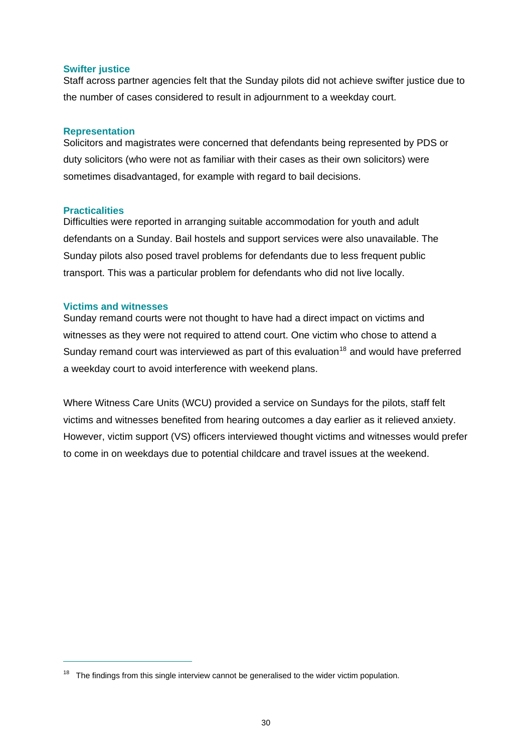#### **Swifter justice**

Staff across partner agencies felt that the Sunday pilots did not achieve swifter justice due to the number of cases considered to result in adjournment to a weekday court.

#### **Representation**

Solicitors and magistrates were concerned that defendants being represented by PDS or duty solicitors (who were not as familiar with their cases as their own solicitors) were sometimes disadvantaged, for example with regard to bail decisions.

#### **Practicalities**

 $\overline{a}$ 

Difficulties were reported in arranging suitable accommodation for youth and adult defendants on a Sunday. Bail hostels and support services were also unavailable. The Sunday pilots also posed travel problems for defendants due to less frequent public transport. This was a particular problem for defendants who did not live locally.

#### **Victims and witnesses**

Sunday remand courts were not thought to have had a direct impact on victims and witnesses as they were not required to attend court. One victim who chose to attend a Sunday remand court was interviewed as part of this evaluation<sup>[18](#page-34-0)</sup> and would have preferred a weekday court to avoid interference with weekend plans.

Where Witness Care Units (WCU) provided a service on Sundays for the pilots, staff felt victims and witnesses benefited from hearing outcomes a day earlier as it relieved anxiety. However, victim support (VS) officers interviewed thought victims and witnesses would prefer to come in on weekdays due to potential childcare and travel issues at the weekend.

<span id="page-34-0"></span> $18$  The findings from this single interview cannot be generalised to the wider victim population.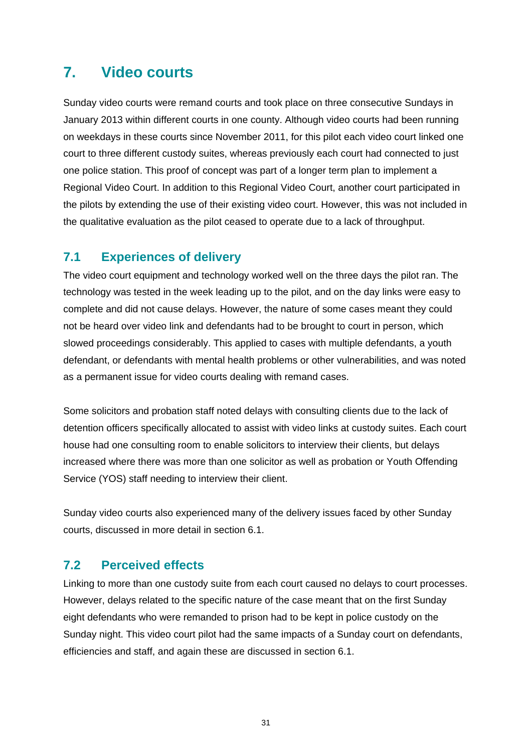# <span id="page-35-0"></span>**7. Video courts**

Sunday video courts were remand courts and took place on three consecutive Sundays in January 2013 within different courts in one county. Although video courts had been running on weekdays in these courts since November 2011, for this pilot each video court linked one court to three different custody suites, whereas previously each court had connected to just one police station. This proof of concept was part of a longer term plan to implement a Regional Video Court. In addition to this Regional Video Court, another court participated in the pilots by extending the use of their existing video court. However, this was not included in the qualitative evaluation as the pilot ceased to operate due to a lack of throughput.

# <span id="page-35-1"></span>**7.1 Experiences of delivery**

The video court equipment and technology worked well on the three days the pilot ran. The technology was tested in the week leading up to the pilot, and on the day links were easy to complete and did not cause delays. However, the nature of some cases meant they could not be heard over video link and defendants had to be brought to court in person, which slowed proceedings considerably. This applied to cases with multiple defendants, a youth defendant, or defendants with mental health problems or other vulnerabilities, and was noted as a permanent issue for video courts dealing with remand cases.

Some solicitors and probation staff noted delays with consulting clients due to the lack of detention officers specifically allocated to assist with video links at custody suites. Each court house had one consulting room to enable solicitors to interview their clients, but delays increased where there was more than one solicitor as well as probation or Youth Offending Service (YOS) staff needing to interview their client.

Sunday video courts also experienced many of the delivery issues faced by other Sunday courts, discussed in more detail in section 6.1.

## <span id="page-35-2"></span>**7.2 Perceived effects**

Linking to more than one custody suite from each court caused no delays to court processes. However, delays related to the specific nature of the case meant that on the first Sunday eight defendants who were remanded to prison had to be kept in police custody on the Sunday night. This video court pilot had the same impacts of a Sunday court on defendants, efficiencies and staff, and again these are discussed in section 6.1.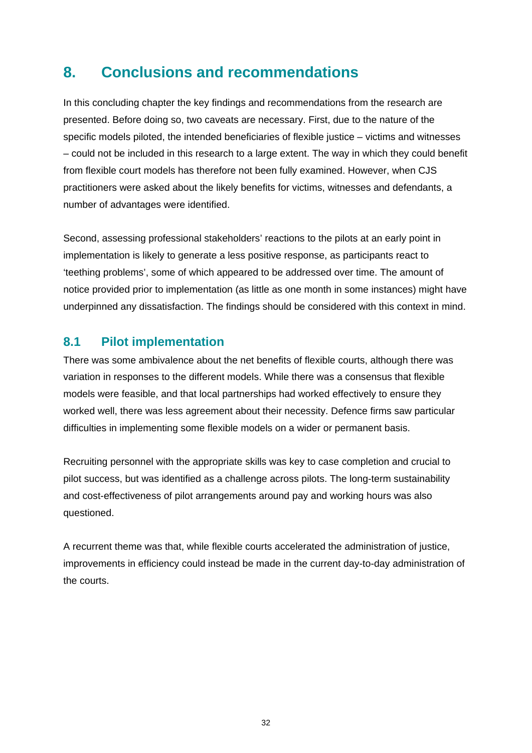# <span id="page-36-0"></span>**8. Conclusions and recommendations**

In this concluding chapter the key findings and recommendations from the research are presented. Before doing so, two caveats are necessary. First, due to the nature of the specific models piloted, the intended beneficiaries of flexible justice – victims and witnesses – could not be included in this research to a large extent. The way in which they could benefit from flexible court models has therefore not been fully examined. However, when CJS practitioners were asked about the likely benefits for victims, witnesses and defendants, a number of advantages were identified.

Second, assessing professional stakeholders' reactions to the pilots at an early point in implementation is likely to generate a less positive response, as participants react to 'teething problems', some of which appeared to be addressed over time. The amount of notice provided prior to implementation (as little as one month in some instances) might have underpinned any dissatisfaction. The findings should be considered with this context in mind.

# <span id="page-36-1"></span>**8.1 Pilot implementation**

There was some ambivalence about the net benefits of flexible courts, although there was variation in responses to the different models. While there was a consensus that flexible models were feasible, and that local partnerships had worked effectively to ensure they worked well, there was less agreement about their necessity. Defence firms saw particular difficulties in implementing some flexible models on a wider or permanent basis.

Recruiting personnel with the appropriate skills was key to case completion and crucial to pilot success, but was identified as a challenge across pilots. The long-term sustainability and cost-effectiveness of pilot arrangements around pay and working hours was also questioned.

A recurrent theme was that, while flexible courts accelerated the administration of justice, improvements in efficiency could instead be made in the current day-to-day administration of the courts.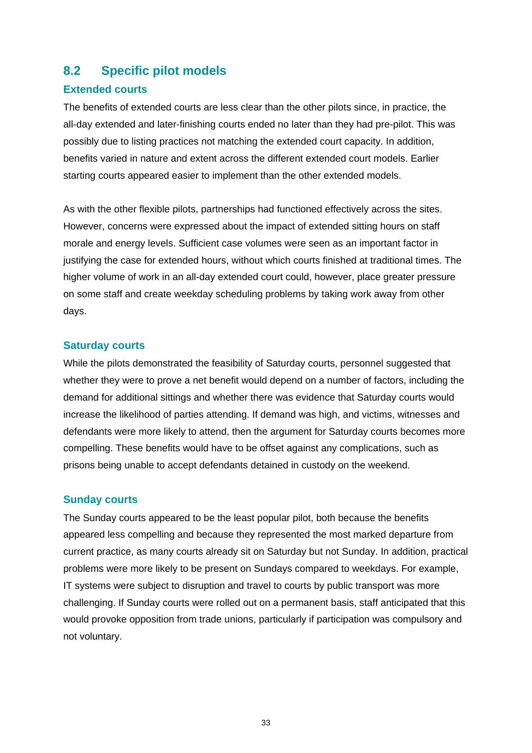## <span id="page-37-0"></span>**8.2 Specific pilot models**

#### **Extended courts**

The benefits of extended courts are less clear than the other pilots since, in practice, the all-day extended and later-finishing courts ended no later than they had pre-pilot. This was possibly due to listing practices not matching the extended court capacity. In addition, benefits varied in nature and extent across the different extended court models. Earlier starting courts appeared easier to implement than the other extended models.

As with the other flexible pilots, partnerships had functioned effectively across the sites. However, concerns were expressed about the impact of extended sitting hours on staff morale and energy levels. Sufficient case volumes were seen as an important factor in justifying the case for extended hours, without which courts finished at traditional times. The higher volume of work in an all-day extended court could, however, place greater pressure on some staff and create weekday scheduling problems by taking work away from other days.

#### **Saturday courts**

While the pilots demonstrated the feasibility of Saturday courts, personnel suggested that whether they were to prove a net benefit would depend on a number of factors, including the demand for additional sittings and whether there was evidence that Saturday courts would increase the likelihood of parties attending. If demand was high, and victims, witnesses and defendants were more likely to attend, then the argument for Saturday courts becomes more compelling. These benefits would have to be offset against any complications, such as prisons being unable to accept defendants detained in custody on the weekend.

#### **Sunday courts**

The Sunday courts appeared to be the least popular pilot, both because the benefits appeared less compelling and because they represented the most marked departure from current practice, as many courts already sit on Saturday but not Sunday. In addition, practical problems were more likely to be present on Sundays compared to weekdays. For example, IT systems were subject to disruption and travel to courts by public transport was more challenging. If Sunday courts were rolled out on a permanent basis, staff anticipated that this would provoke opposition from trade unions, particularly if participation was compulsory and not voluntary.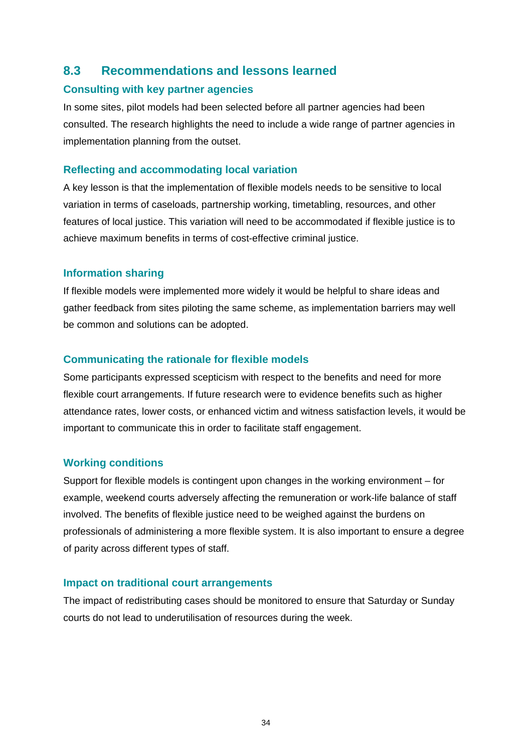# <span id="page-38-0"></span>**8.3 Recommendations and lessons learned**

#### **Consulting with key partner agencies**

In some sites, pilot models had been selected before all partner agencies had been consulted. The research highlights the need to include a wide range of partner agencies in implementation planning from the outset.

#### **Reflecting and accommodating local variation**

A key lesson is that the implementation of flexible models needs to be sensitive to local variation in terms of caseloads, partnership working, timetabling, resources, and other features of local justice. This variation will need to be accommodated if flexible justice is to achieve maximum benefits in terms of cost-effective criminal justice.

#### **Information sharing**

If flexible models were implemented more widely it would be helpful to share ideas and gather feedback from sites piloting the same scheme, as implementation barriers may well be common and solutions can be adopted.

#### **Communicating the rationale for flexible models**

Some participants expressed scepticism with respect to the benefits and need for more flexible court arrangements. If future research were to evidence benefits such as higher attendance rates, lower costs, or enhanced victim and witness satisfaction levels, it would be important to communicate this in order to facilitate staff engagement.

#### **Working conditions**

Support for flexible models is contingent upon changes in the working environment – for example, weekend courts adversely affecting the remuneration or work-life balance of staff involved. The benefits of flexible justice need to be weighed against the burdens on professionals of administering a more flexible system. It is also important to ensure a degree of parity across different types of staff.

#### **Impact on traditional court arrangements**

The impact of redistributing cases should be monitored to ensure that Saturday or Sunday courts do not lead to underutilisation of resources during the week.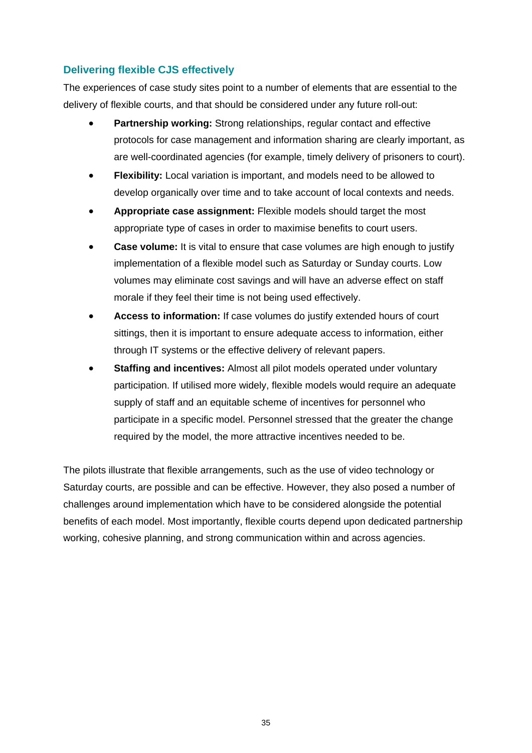## **Delivering flexible CJS effectively**

The experiences of case study sites point to a number of elements that are essential to the delivery of flexible courts, and that should be considered under any future roll-out:

- **Partnership working:** Strong relationships, regular contact and effective protocols for case management and information sharing are clearly important, as are well-coordinated agencies (for example, timely delivery of prisoners to court).
- **Flexibility:** Local variation is important, and models need to be allowed to develop organically over time and to take account of local contexts and needs.
- **Appropriate case assignment:** Flexible models should target the most appropriate type of cases in order to maximise benefits to court users.
- **Case volume:** It is vital to ensure that case volumes are high enough to justify implementation of a flexible model such as Saturday or Sunday courts. Low volumes may eliminate cost savings and will have an adverse effect on staff morale if they feel their time is not being used effectively.
- **Access to information:** If case volumes do justify extended hours of court sittings, then it is important to ensure adequate access to information, either through IT systems or the effective delivery of relevant papers.
- **Staffing and incentives:** Almost all pilot models operated under voluntary participation. If utilised more widely, flexible models would require an adequate supply of staff and an equitable scheme of incentives for personnel who participate in a specific model. Personnel stressed that the greater the change required by the model, the more attractive incentives needed to be.

The pilots illustrate that flexible arrangements, such as the use of video technology or Saturday courts, are possible and can be effective. However, they also posed a number of challenges around implementation which have to be considered alongside the potential benefits of each model. Most importantly, flexible courts depend upon dedicated partnership working, cohesive planning, and strong communication within and across agencies.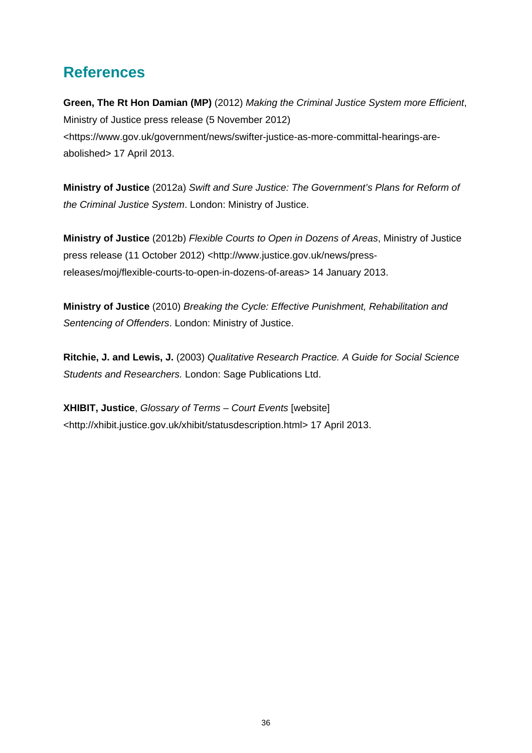# <span id="page-40-0"></span>**References**

**Green, The Rt Hon Damian (MP)** (2012) *Making the Criminal Justice System more Efficient*, Ministry of Justice press release (5 November 2012) [<https://www.gov.uk/government/news/swifter-justice-as-more-committal-hearings-are](https://www.gov.uk/government/news/swifter-justice-as-more-committal-hearings-are-abolished)[abolished](https://www.gov.uk/government/news/swifter-justice-as-more-committal-hearings-are-abolished)> 17 April 2013.

**Ministry of Justice** (2012a) *Swift and Sure Justice: The Government's Plans for Reform of the Criminal Justice System*. London: Ministry of Justice.

**Ministry of Justice** (2012b) *Flexible Courts to Open in Dozens of Areas*, Ministry of Justice press release (11 October 2012) <http://www.justice.gov.uk/news/pressreleases/moj/flexible-courts-to-open-in-dozens-of-areas> 14 January 2013.

**Ministry of Justice** (2010) *Breaking the Cycle: Effective Punishment, Rehabilitation and Sentencing of Offenders*. London: Ministry of Justice.

**Ritchie, J. and Lewis, J.** (2003) *Qualitative Research Practice. A Guide for Social Science Students and Researchers.* London: Sage Publications Ltd.

**XHIBIT, Justice**, *Glossary of Terms – Court Events* [website] [<http://xhibit.justice.gov.uk/xhibit/statusdescription.html](http://xhibit.justice.gov.uk/xhibit/statusdescription.html)> 17 April 2013.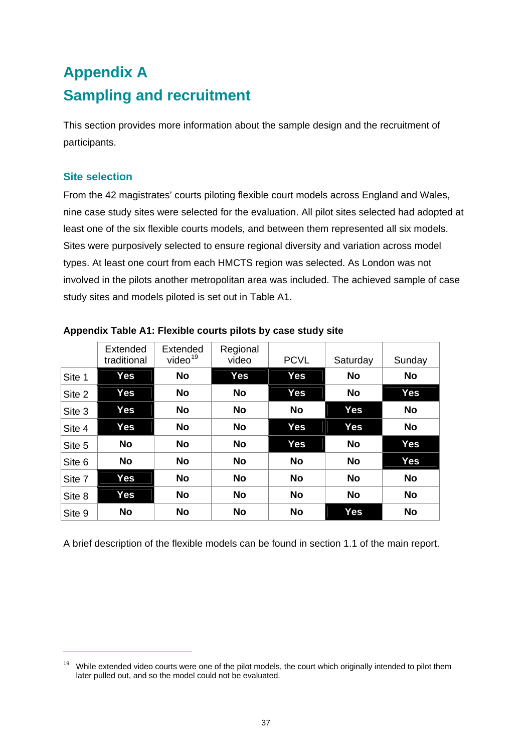# <span id="page-41-1"></span><span id="page-41-0"></span>**Appendix A Sampling and recruitment**

This section provides more information about the sample design and the recruitment of participants.

#### **Site selection**

 $\overline{a}$ 

From the 42 magistrates' courts piloting flexible court models across England and Wales, nine case study sites were selected for the evaluation. All pilot sites selected had adopted at least one of the six flexible courts models, and between them represented all six models. Sites were purposively selected to ensure regional diversity and variation across model types. At least one court from each HMCTS region was selected. As London was not involved in the pilots another metropolitan area was included. The achieved sample of case study sites and models piloted is set out in Table A1.

|        | Extended<br>traditional | Extended<br>video $19$ | Regional<br>video | <b>PCVL</b> | Saturday   | Sunday     |
|--------|-------------------------|------------------------|-------------------|-------------|------------|------------|
| Site 1 | <b>Yes</b>              | <b>No</b>              | Yes               | Yes         | <b>No</b>  | <b>No</b>  |
| Site 2 | Yes                     | <b>No</b>              | <b>No</b>         | Yes         | <b>No</b>  | <b>Yes</b> |
| Site 3 | Yes                     | <b>No</b>              | <b>No</b>         | No          | Yes        | <b>No</b>  |
| Site 4 | Yes                     | <b>No</b>              | <b>No</b>         | Yes         | Yes        | <b>No</b>  |
| Site 5 | <b>No</b>               | <b>No</b>              | <b>No</b>         | Yes         | <b>No</b>  | <b>Yes</b> |
| Site 6 | <b>No</b>               | <b>No</b>              | <b>No</b>         | <b>No</b>   | <b>No</b>  | Yes        |
| Site 7 | Yes                     | <b>No</b>              | <b>No</b>         | No          | <b>No</b>  | <b>No</b>  |
| Site 8 | <b>Yes</b>              | <b>No</b>              | <b>No</b>         | <b>No</b>   | <b>No</b>  | <b>No</b>  |
| Site 9 | <b>No</b>               | <b>No</b>              | <b>No</b>         | <b>No</b>   | <b>Yes</b> | <b>No</b>  |

#### <span id="page-41-2"></span>**Appendix Table A1: Flexible courts pilots by case study site**

A brief description of the flexible models can be found in section 1.1 of the main report.

<span id="page-41-3"></span><sup>&</sup>lt;sup>19</sup> While extended video courts were one of the pilot models, the court which originally intended to pilot them later pulled out, and so the model could not be evaluated.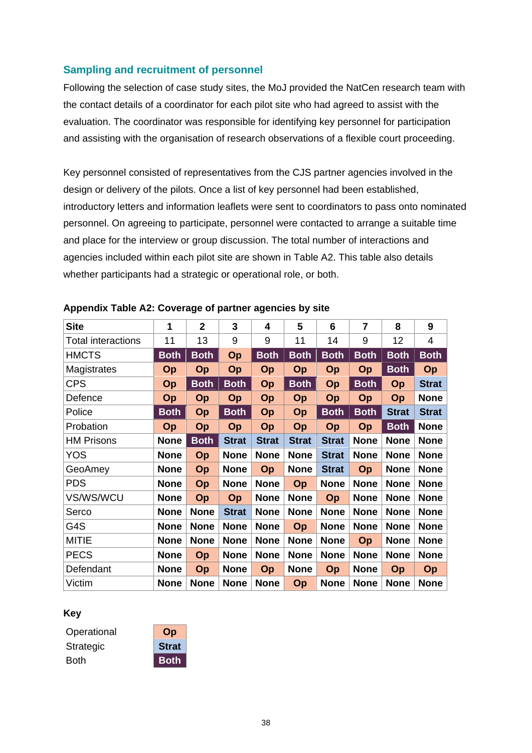#### **Sampling and recruitment of personnel**

Following the selection of case study sites, the MoJ provided the NatCen research team with the contact details of a coordinator for each pilot site who had agreed to assist with the evaluation. The coordinator was responsible for identifying key personnel for participation and assisting with the organisation of research observations of a flexible court proceeding.

Key personnel consisted of representatives from the CJS partner agencies involved in the design or delivery of the pilots. Once a list of key personnel had been established, introductory letters and information leaflets were sent to coordinators to pass onto nominated personnel. On agreeing to participate, personnel were contacted to arrange a suitable time and place for the interview or group discussion. The total number of interactions and agencies included within each pilot site are shown in Table A2. This table also details whether participants had a strategic or operational role, or both.

| <b>Site</b>               | 1           | $\overline{2}$ | 3            | 4            | 5            | 6            | $\overline{7}$ | 8            | 9            |
|---------------------------|-------------|----------------|--------------|--------------|--------------|--------------|----------------|--------------|--------------|
| <b>Total interactions</b> | 11          | 13             | 9            | 9            | 11           | 14           | 9              | 12           | 4            |
| <b>HMCTS</b>              | <b>Both</b> | <b>Both</b>    | Op           | <b>Both</b>  | <b>Both</b>  | <b>Both</b>  | <b>Both</b>    | <b>Both</b>  | <b>Both</b>  |
| Magistrates               | Op          | Op             | Op           | Op           | Op           | Op           | Op             | <b>Both</b>  | Op           |
| <b>CPS</b>                | Op          | <b>Both</b>    | <b>Both</b>  | Op           | <b>Both</b>  | Op           | <b>Both</b>    | Op           | <b>Strat</b> |
| Defence                   | Op          | Op             | Op           | Op           | Op           | Op           | Op             | Op           | <b>None</b>  |
| Police                    | <b>Both</b> | Op             | <b>Both</b>  | Op           | Op           | <b>Both</b>  | <b>Both</b>    | <b>Strat</b> | <b>Strat</b> |
| Probation                 | Op          | Op             | Op           | Op           | Op           | Op           | Op             | <b>Both</b>  | <b>None</b>  |
| <b>HM Prisons</b>         | <b>None</b> | <b>Both</b>    | <b>Strat</b> | <b>Strat</b> | <b>Strat</b> | <b>Strat</b> | <b>None</b>    | <b>None</b>  | <b>None</b>  |
| <b>YOS</b>                | <b>None</b> | Op             | <b>None</b>  | <b>None</b>  | <b>None</b>  | <b>Strat</b> | <b>None</b>    | <b>None</b>  | <b>None</b>  |
| GeoAmey                   | <b>None</b> | Op             | <b>None</b>  | Op           | <b>None</b>  | <b>Strat</b> | Op             | <b>None</b>  | <b>None</b>  |
| <b>PDS</b>                | <b>None</b> | Op             | <b>None</b>  | <b>None</b>  | Op           | <b>None</b>  | <b>None</b>    | <b>None</b>  | <b>None</b>  |
| VS/WS/WCU                 | <b>None</b> | Op             | Op           | <b>None</b>  | <b>None</b>  | Op           | <b>None</b>    | <b>None</b>  | <b>None</b>  |
| Serco                     | <b>None</b> | <b>None</b>    | <b>Strat</b> | <b>None</b>  | <b>None</b>  | <b>None</b>  | <b>None</b>    | <b>None</b>  | <b>None</b>  |
| G4S                       | <b>None</b> | <b>None</b>    | <b>None</b>  | <b>None</b>  | Op           | <b>None</b>  | <b>None</b>    | <b>None</b>  | <b>None</b>  |
| <b>MITIE</b>              | <b>None</b> | <b>None</b>    | <b>None</b>  | <b>None</b>  | <b>None</b>  | <b>None</b>  | Op             | <b>None</b>  | <b>None</b>  |
| <b>PECS</b>               | <b>None</b> | Op             | <b>None</b>  | <b>None</b>  | <b>None</b>  | <b>None</b>  | <b>None</b>    | <b>None</b>  | <b>None</b>  |
| Defendant                 | <b>None</b> | Op             | <b>None</b>  | <b>Op</b>    | <b>None</b>  | Op           | <b>None</b>    | Op           | Op           |
| Victim                    | <b>None</b> | <b>None</b>    | <b>None</b>  | <b>None</b>  | Op           | <b>None</b>  | <b>None</b>    | <b>None</b>  | <b>None</b>  |

#### <span id="page-42-0"></span>**Appendix Table A2: Coverage of partner agencies by site**

#### **Key**

| Operational | Op           |
|-------------|--------------|
| Strategic   | <b>Strat</b> |
| <b>Both</b> | <b>Both</b>  |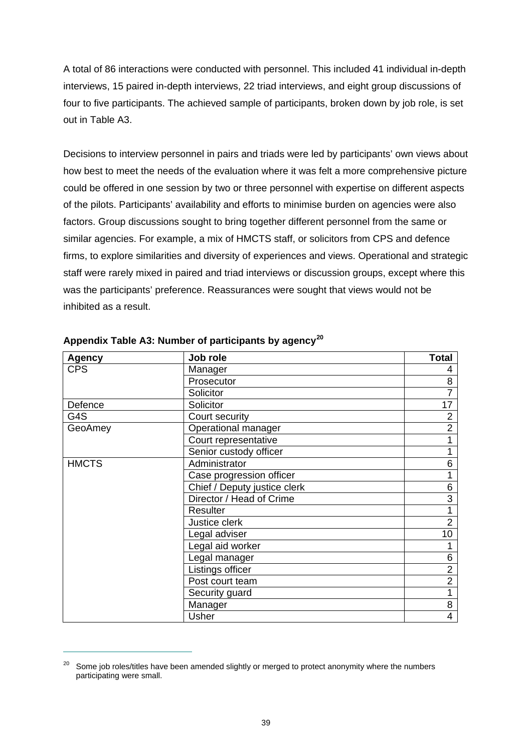A total of 86 interactions were conducted with personnel. This included 41 individual in-depth interviews, 15 paired in-depth interviews, 22 triad interviews, and eight group discussions of four to five participants. The achieved sample of participants, broken down by job role, is set out in Table A3.

Decisions to interview personnel in pairs and triads were led by participants' own views about how best to meet the needs of the evaluation where it was felt a more comprehensive picture could be offered in one session by two or three personnel with expertise on different aspects of the pilots. Participants' availability and efforts to minimise burden on agencies were also factors. Group discussions sought to bring together different personnel from the same or similar agencies. For example, a mix of HMCTS staff, or solicitors from CPS and defence firms, to explore similarities and diversity of experiences and views. Operational and strategic staff were rarely mixed in paired and triad interviews or discussion groups, except where this was the participants' preference. Reassurances were sought that views would not be inhibited as a result.

| <b>Agency</b> | Job role                     | <b>Total</b>   |
|---------------|------------------------------|----------------|
| <b>CPS</b>    | Manager                      | 4              |
|               | Prosecutor                   | 8              |
|               | Solicitor                    | $\overline{7}$ |
| Defence       | Solicitor                    | 17             |
| G4S           | Court security               | 2              |
| GeoAmey       | Operational manager          | $\overline{2}$ |
|               | Court representative         |                |
|               | Senior custody officer       | 1              |
| <b>HMCTS</b>  | Administrator                | 6              |
|               | Case progression officer     |                |
|               | Chief / Deputy justice clerk | 6              |
|               | Director / Head of Crime     | 3              |
|               | Resulter                     | 1              |
|               | Justice clerk                | $\overline{2}$ |
|               | Legal adviser                | 10             |
|               | Legal aid worker             |                |
|               | Legal manager                | 6              |
|               | Listings officer             | $\overline{2}$ |
|               | Post court team              | $\overline{2}$ |
|               | Security guard               | 1              |
|               | Manager                      | 8              |
|               | Usher                        | 4              |

#### <span id="page-43-0"></span>**Appendix Table A3: Number of participants by agency[20](#page-43-1)**

 $\overline{a}$ 

<span id="page-43-1"></span><sup>&</sup>lt;sup>20</sup> Some job roles/titles have been amended slightly or merged to protect anonymity where the numbers participating were small.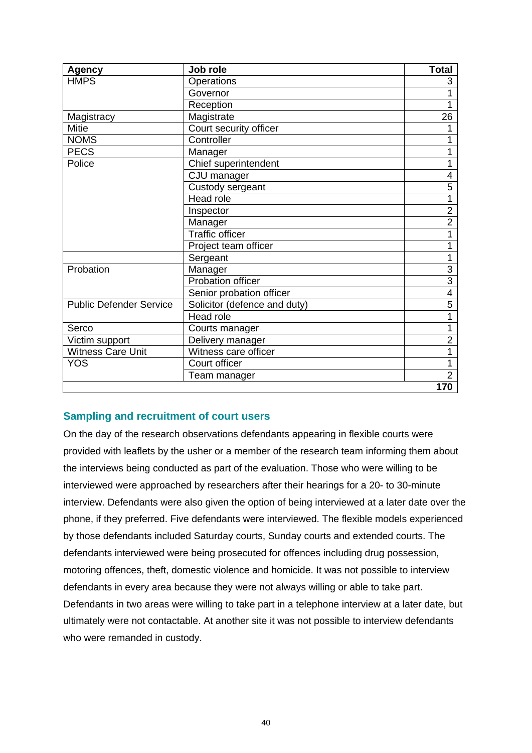| <b>Agency</b>                  | Job role                     | <b>Total</b>   |
|--------------------------------|------------------------------|----------------|
| <b>HMPS</b>                    | Operations                   | 3              |
|                                | Governor                     |                |
|                                | Reception                    | 1              |
| Magistracy                     | Magistrate                   | 26             |
| <b>Mitie</b>                   | Court security officer       |                |
| <b>NOMS</b>                    | Controller                   |                |
| <b>PECS</b>                    | Manager                      |                |
| Police                         | Chief superintendent         |                |
|                                | CJU manager                  | 4              |
|                                | Custody sergeant             | 5              |
|                                | Head role                    | 1              |
|                                | Inspector                    | $\overline{2}$ |
|                                | Manager                      | $\overline{2}$ |
|                                | <b>Traffic officer</b>       |                |
|                                | Project team officer         | 1              |
|                                | Sergeant                     | 1              |
| Probation                      | Manager                      | 3              |
|                                | <b>Probation officer</b>     | $\overline{3}$ |
|                                | Senior probation officer     | 4              |
| <b>Public Defender Service</b> | Solicitor (defence and duty) | 5              |
|                                | Head role                    | 1              |
| Serco                          | Courts manager               | 1              |
| Victim support                 | Delivery manager             | $\overline{2}$ |
| <b>Witness Care Unit</b>       | Witness care officer         | 1              |
| <b>YOS</b>                     | Court officer                |                |
|                                | Team manager                 | $\overline{2}$ |
|                                |                              | 170            |

#### **Sampling and recruitment of court users**

On the day of the research observations defendants appearing in flexible courts were provided with leaflets by the usher or a member of the research team informing them about the interviews being conducted as part of the evaluation. Those who were willing to be interviewed were approached by researchers after their hearings for a 20- to 30-minute interview. Defendants were also given the option of being interviewed at a later date over the phone, if they preferred. Five defendants were interviewed. The flexible models experienced by those defendants included Saturday courts, Sunday courts and extended courts. The defendants interviewed were being prosecuted for offences including drug possession, motoring offences, theft, domestic violence and homicide. It was not possible to interview defendants in every area because they were not always willing or able to take part. Defendants in two areas were willing to take part in a telephone interview at a later date, but ultimately were not contactable. At another site it was not possible to interview defendants who were remanded in custody.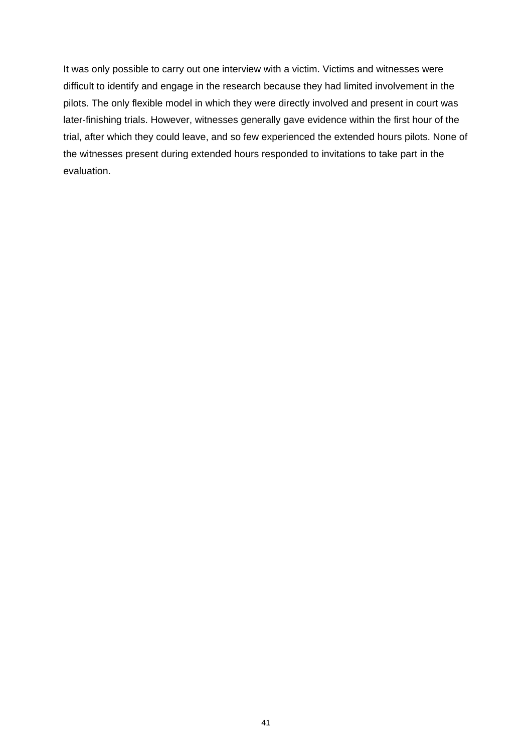It was only possible to carry out one interview with a victim. Victims and witnesses were difficult to identify and engage in the research because they had limited involvement in the pilots. The only flexible model in which they were directly involved and present in court was later-finishing trials. However, witnesses generally gave evidence within the first hour of the trial, after which they could leave, and so few experienced the extended hours pilots. None of the witnesses present during extended hours responded to invitations to take part in the evaluation.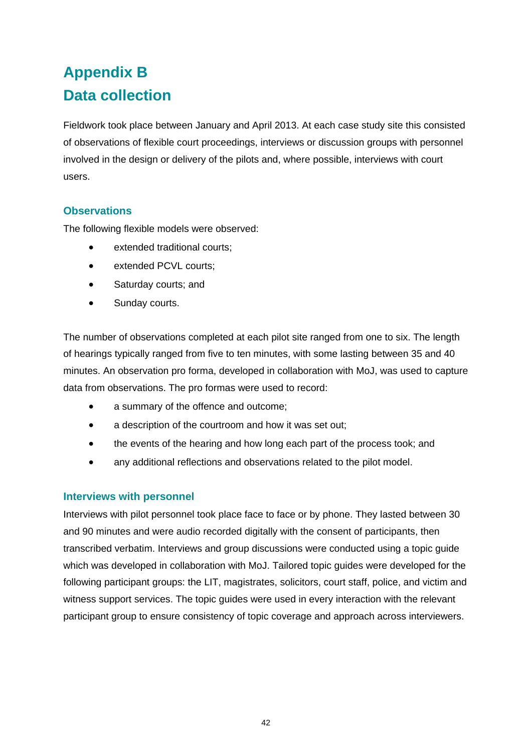# <span id="page-46-1"></span><span id="page-46-0"></span>**Appendix B Data collection**

Fieldwork took place between January and April 2013. At each case study site this consisted of observations of flexible court proceedings, interviews or discussion groups with personnel involved in the design or delivery of the pilots and, where possible, interviews with court users.

#### **Observations**

The following flexible models were observed:

- extended traditional courts;
- extended PCVL courts;
- Saturday courts: and
- Sunday courts.

The number of observations completed at each pilot site ranged from one to six. The length of hearings typically ranged from five to ten minutes, with some lasting between 35 and 40 minutes. An observation pro forma, developed in collaboration with MoJ, was used to capture data from observations. The pro formas were used to record:

- a summary of the offence and outcome;
- a description of the courtroom and how it was set out;
- the events of the hearing and how long each part of the process took; and
- any additional reflections and observations related to the pilot model.

#### **Interviews with personnel**

Interviews with pilot personnel took place face to face or by phone. They lasted between 30 and 90 minutes and were audio recorded digitally with the consent of participants, then transcribed verbatim. Interviews and group discussions were conducted using a topic guide which was developed in collaboration with MoJ. Tailored topic guides were developed for the following participant groups: the LIT, magistrates, solicitors, court staff, police, and victim and witness support services. The topic guides were used in every interaction with the relevant participant group to ensure consistency of topic coverage and approach across interviewers.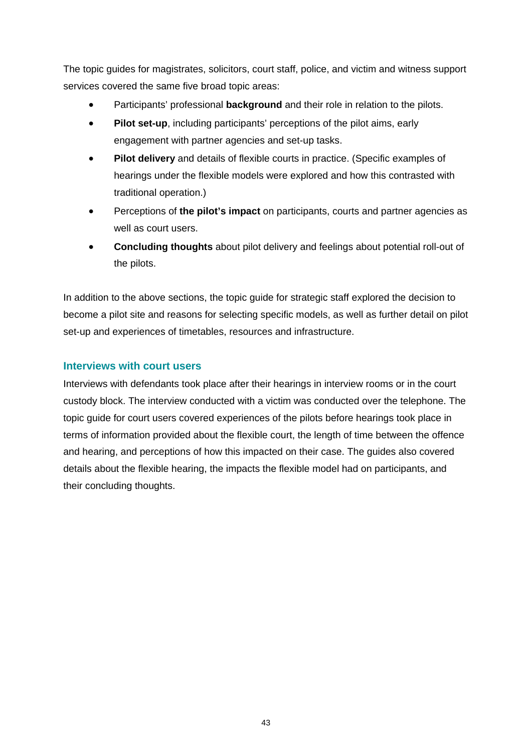The topic guides for magistrates, solicitors, court staff, police, and victim and witness support services covered the same five broad topic areas:

- Participants' professional **background** and their role in relation to the pilots.
- **Pilot set-up**, including participants' perceptions of the pilot aims, early engagement with partner agencies and set-up tasks.
- **Pilot delivery** and details of flexible courts in practice. (Specific examples of hearings under the flexible models were explored and how this contrasted with traditional operation.)
- Perceptions of **the pilot's impact** on participants, courts and partner agencies as well as court users.
- **Concluding thoughts** about pilot delivery and feelings about potential roll-out of the pilots.

In addition to the above sections, the topic guide for strategic staff explored the decision to become a pilot site and reasons for selecting specific models, as well as further detail on pilot set-up and experiences of timetables, resources and infrastructure.

#### **Interviews with court users**

Interviews with defendants took place after their hearings in interview rooms or in the court custody block. The interview conducted with a victim was conducted over the telephone. The topic guide for court users covered experiences of the pilots before hearings took place in terms of information provided about the flexible court, the length of time between the offence and hearing, and perceptions of how this impacted on their case. The guides also covered details about the flexible hearing, the impacts the flexible model had on participants, and their concluding thoughts.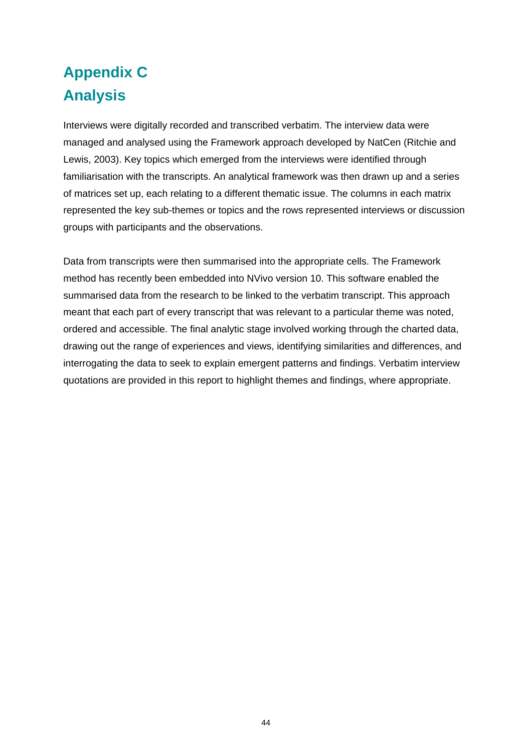# <span id="page-48-1"></span><span id="page-48-0"></span>**Appendix C Analysis**

Interviews were digitally recorded and transcribed verbatim. The interview data were managed and analysed using the Framework approach developed by NatCen (Ritchie and Lewis, 2003). Key topics which emerged from the interviews were identified through familiarisation with the transcripts. An analytical framework was then drawn up and a series of matrices set up, each relating to a different thematic issue. The columns in each matrix represented the key sub-themes or topics and the rows represented interviews or discussion groups with participants and the observations.

Data from transcripts were then summarised into the appropriate cells. The Framework method has recently been embedded into NVivo version 10. This software enabled the summarised data from the research to be linked to the verbatim transcript. This approach meant that each part of every transcript that was relevant to a particular theme was noted, ordered and accessible. The final analytic stage involved working through the charted data, drawing out the range of experiences and views, identifying similarities and differences, and interrogating the data to seek to explain emergent patterns and findings. Verbatim interview quotations are provided in this report to highlight themes and findings, where appropriate.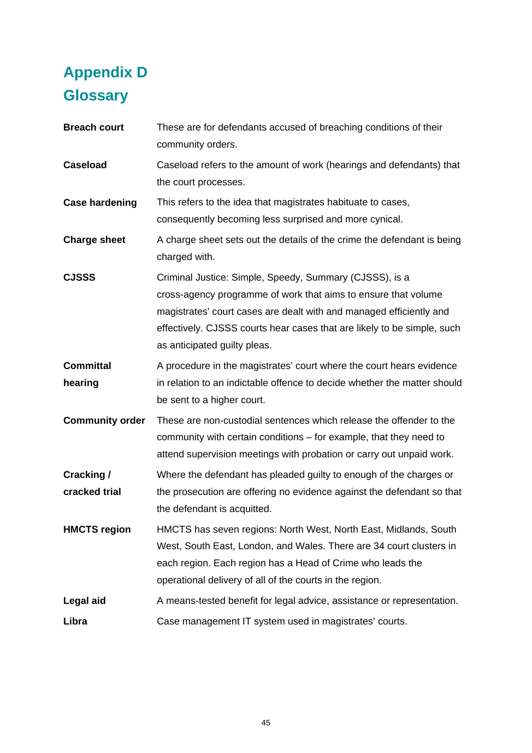# <span id="page-49-1"></span><span id="page-49-0"></span>**Appendix D Glossary**

| <b>Breach court</b>         | These are for defendants accused of breaching conditions of their<br>community orders.                                                                                                                                                                                                                      |
|-----------------------------|-------------------------------------------------------------------------------------------------------------------------------------------------------------------------------------------------------------------------------------------------------------------------------------------------------------|
| <b>Caseload</b>             | Caseload refers to the amount of work (hearings and defendants) that<br>the court processes.                                                                                                                                                                                                                |
| <b>Case hardening</b>       | This refers to the idea that magistrates habituate to cases,<br>consequently becoming less surprised and more cynical.                                                                                                                                                                                      |
| <b>Charge sheet</b>         | A charge sheet sets out the details of the crime the defendant is being<br>charged with.                                                                                                                                                                                                                    |
| <b>CJSSS</b>                | Criminal Justice: Simple, Speedy, Summary (CJSSS), is a<br>cross-agency programme of work that aims to ensure that volume<br>magistrates' court cases are dealt with and managed efficiently and<br>effectively. CJSSS courts hear cases that are likely to be simple, such<br>as anticipated guilty pleas. |
| <b>Committal</b><br>hearing | A procedure in the magistrates' court where the court hears evidence<br>in relation to an indictable offence to decide whether the matter should<br>be sent to a higher court.                                                                                                                              |
| <b>Community order</b>      | These are non-custodial sentences which release the offender to the<br>community with certain conditions – for example, that they need to<br>attend supervision meetings with probation or carry out unpaid work.                                                                                           |
| Cracking /<br>cracked trial | Where the defendant has pleaded guilty to enough of the charges or<br>the prosecution are offering no evidence against the defendant so that<br>the defendant is acquitted.                                                                                                                                 |
| <b>HMCTS region</b>         | HMCTS has seven regions: North West, North East, Midlands, South<br>West, South East, London, and Wales. There are 34 court clusters in<br>each region. Each region has a Head of Crime who leads the<br>operational delivery of all of the courts in the region.                                           |
| Legal aid                   | A means-tested benefit for legal advice, assistance or representation.                                                                                                                                                                                                                                      |
| Libra                       | Case management IT system used in magistrates' courts.                                                                                                                                                                                                                                                      |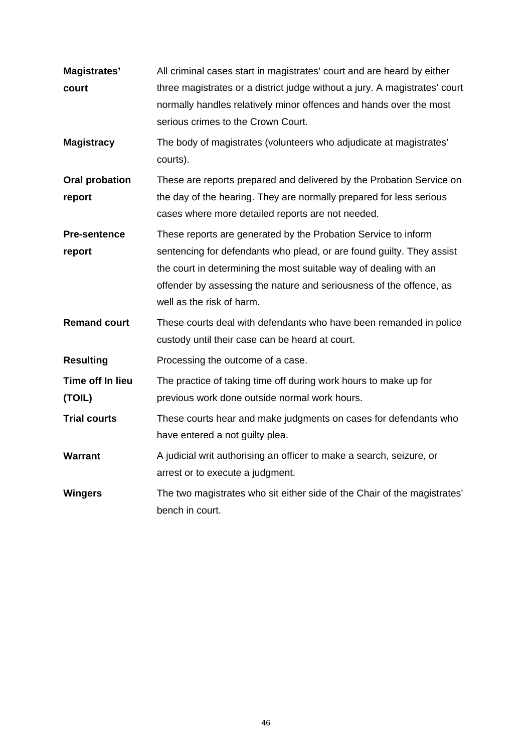| <b>Magistrates'</b><br>court<br><b>Magistracy</b> | All criminal cases start in magistrates' court and are heard by either<br>three magistrates or a district judge without a jury. A magistrates' court<br>normally handles relatively minor offences and hands over the most<br>serious crimes to the Crown Court.<br>The body of magistrates (volunteers who adjudicate at magistrates' |
|---------------------------------------------------|----------------------------------------------------------------------------------------------------------------------------------------------------------------------------------------------------------------------------------------------------------------------------------------------------------------------------------------|
|                                                   | courts).                                                                                                                                                                                                                                                                                                                               |
| <b>Oral probation</b><br>report                   | These are reports prepared and delivered by the Probation Service on<br>the day of the hearing. They are normally prepared for less serious<br>cases where more detailed reports are not needed.                                                                                                                                       |
| <b>Pre-sentence</b><br>report                     | These reports are generated by the Probation Service to inform<br>sentencing for defendants who plead, or are found guilty. They assist<br>the court in determining the most suitable way of dealing with an<br>offender by assessing the nature and seriousness of the offence, as<br>well as the risk of harm.                       |
| <b>Remand court</b>                               | These courts deal with defendants who have been remanded in police<br>custody until their case can be heard at court.                                                                                                                                                                                                                  |
| <b>Resulting</b>                                  | Processing the outcome of a case.                                                                                                                                                                                                                                                                                                      |
| Time off In lieu<br>(TOIL)                        | The practice of taking time off during work hours to make up for<br>previous work done outside normal work hours.                                                                                                                                                                                                                      |
| <b>Trial courts</b>                               | These courts hear and make judgments on cases for defendants who<br>have entered a not guilty plea.                                                                                                                                                                                                                                    |
| <b>Warrant</b>                                    | A judicial writ authorising an officer to make a search, seizure, or<br>arrest or to execute a judgment.                                                                                                                                                                                                                               |
| <b>Wingers</b>                                    | The two magistrates who sit either side of the Chair of the magistrates'<br>bench in court.                                                                                                                                                                                                                                            |